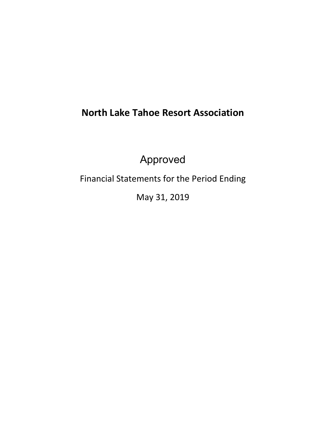# **North Lake Tahoe Resort Association**

Approved

Financial Statements for the Period Ending

May 31, 2019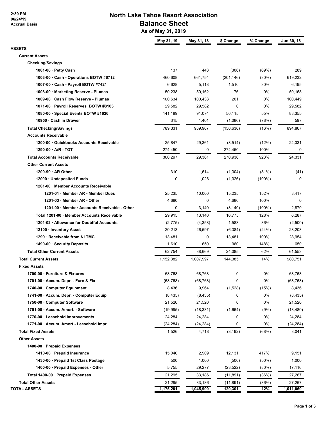**2:30 PM 06/24/19 Accrual Basis**

## **North Lake Tahoe Resort Association Balance Sheet**

 **As of May 31, 2019**

|                                              | May 31, 19 | May 31, 18 | \$ Change  | % Change  | Jun 30, 18 |
|----------------------------------------------|------------|------------|------------|-----------|------------|
| ASSETS                                       |            |            |            |           |            |
| <b>Current Assets</b>                        |            |            |            |           |            |
| <b>Checking/Savings</b>                      |            |            |            |           |            |
| 1001-00 · Petty Cash                         | 137        | 443        | (306)      | (69%)     | 289        |
| 1003-00 · Cash - Operations BOTW #6712       | 460,608    | 661,754    | (201, 146) | $(30\%)$  | 619,232    |
| 1007-00 · Cash - Payroll BOTW #7421          | 6,628      | 5,118      | 1,510      | 30%       | 6,195      |
| 1008-00 · Marketing Reserve - Plumas         | 50,238     | 50,162     | 76         | 0%        | 50,168     |
| 1009-00 · Cash Flow Reserve - Plumas         | 100,634    | 100,433    | 201        | 0%        | 100,449    |
| 1071-00 · Payroll Reserves BOTW #8163        | 29,582     | 29,582     | 0          | 0%        | 29,582     |
| 1080-00 · Special Events BOTW #1626          | 141,189    | 91,074     | 50,115     | 55%       | 88,355     |
| 10950 · Cash in Drawer                       | 315        | 1,401      | (1,086)    | (78%)     | 597        |
| <b>Total Checking/Savings</b>                | 789,331    | 939,967    | (150, 636) | (16%)     | 894,867    |
| <b>Accounts Receivable</b>                   |            |            |            |           |            |
| 1200-00 · Quickbooks Accounts Receivable     | 25,847     | 29,361     | (3, 514)   | (12%)     | 24,331     |
| 1290-00 · A/R - TOT                          | 274,450    | 0          | 274,450    | 100%      | 0          |
| <b>Total Accounts Receivable</b>             | 300,297    | 29,361     | 270,936    | 923%      | 24,331     |
| <b>Other Current Assets</b>                  |            |            |            |           |            |
| $1200-99 \cdot AR$ Other                     | 310        | 1,614      | (1,304)    | (81%)     | (41)       |
| 12000 · Undeposited Funds                    | 0          | 1,026      | (1,026)    | $(100\%)$ | 0          |
| 1201-00 · Member Accounts Receivable         |            |            |            |           |            |
| 1201-01 · Member AR - Member Dues            | 25,235     | 10,000     | 15,235     | 152%      | 3,417      |
| 1201-03 · Member AR - Other                  | 4,680      | 0          | 4,680      | 100%      | 0          |
| 1201-00 · Member Accounts Receivable - Other | 0          | 3,140      | (3, 140)   | $(100\%)$ | 2,870      |
| Total 1201-00 · Member Accounts Receivable   | 29,915     | 13,140     | 16,775     | 128%      | 6,287      |
| 1201-02 · Allowance for Doubtful Accounts    | (2,775)    | (4,358)    | 1,583      | 36%       | (2,500)    |
| 12100 · Inventory Asset                      | 20,213     | 26,597     | (6, 384)   | (24%)     | 28,203     |
| 1299 · Receivable from NLTMC                 | 13,481     | 0          | 13,481     | 100%      | 28,954     |
| 1490-00 · Security Deposits                  | 1,610      | 650        | 960        | 148%      | 650        |
| <b>Total Other Current Assets</b>            | 62,754     | 38,669     | 24,085     | 62%       | 61,553     |
| <b>Total Current Assets</b>                  | 1,152,382  | 1,007,997  | 144,385    | 14%       | 980,751    |
| <b>Fixed Assets</b>                          |            |            |            |           |            |
| 1700-00 · Furniture & Fixtures               | 68,768     | 68,768     |            | 0%        | 68,768     |
|                                              |            |            | 0<br>0     |           |            |
| 1701-00 · Accum. Depr. - Furn & Fix          | (68, 768)  | (68, 768)  | (1,528)    | 0%        | (68, 768)  |
| 1740-00 Computer Equipment                   | 8,436      | 9,964      |            | (15%)     | 8,436      |
| 1741-00 · Accum. Depr. - Computer Equip      | (8, 435)   | (8, 435)   | 0          | 0%        | (8, 435)   |
| 1750-00 · Computer Software                  | 21,520     | 21,520     | 0          | 0%        | 21,520     |
| 1751-00 · Accum. Amort. - Software           | (19, 995)  | (18, 331)  | (1,664)    | (9%)      | (18, 480)  |
| 1770-00 · Leasehold Improvements             | 24,284     | 24,284     | 0          | 0%        | 24,284     |
| 1771-00 · Accum. Amort - Leasehold Impr      | (24, 284)  | (24, 284)  | 0          | 0%        | (24, 284)  |
| <b>Total Fixed Assets</b>                    | 1,526      | 4,718      | (3, 192)   | (68%)     | 3,041      |
| <b>Other Assets</b>                          |            |            |            |           |            |
| 1400-00 · Prepaid Expenses                   |            |            |            |           |            |
| 1410-00 · Prepaid Insurance                  | 15,040     | 2,909      | 12,131     | 417%      | 9,151      |
| 1430-00 · Prepaid 1st Class Postage          | 500        | 1,000      | (500)      | $(50\%)$  | 1,000      |
| 1400-00 · Prepaid Expenses - Other           | 5,755      | 29,277     | (23,522)   | $(80\%)$  | 17,116     |
| Total 1400-00 · Prepaid Expenses             | 21,295     | 33,186     | (11, 891)  | (36%)     | 27,267     |
| <b>Total Other Assets</b>                    | 21,295     | 33,186     | (11, 891)  | (36%)     | 27,267     |
| TOTAL ASSETS                                 | 1,175,201  | 1,045,900  | 129,301    | 12%       | 1,011,060  |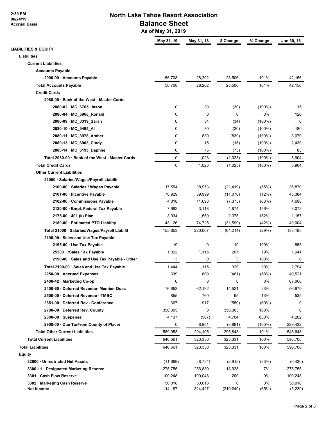**2:30 PM 06/24/19 Accrual Basis**

## **North Lake Tahoe Resort Association Balance Sheet**

 **As of May 31, 2019**

|                                                 | May 31, 19 | May 31, 18  | \$ Change   | % Change  | Jun 30, 18 |
|-------------------------------------------------|------------|-------------|-------------|-----------|------------|
| <b>LIABILITIES &amp; EQUITY</b>                 |            |             |             |           |            |
| Liabilities                                     |            |             |             |           |            |
| <b>Current Liabilities</b>                      |            |             |             |           |            |
| <b>Accounts Payable</b>                         |            |             |             |           |            |
| 2000-00 · Accounts Payable                      | 56,708     | 28,202      | 28,506      | 101%      | 42,156     |
| <b>Total Accounts Payable</b>                   | 56,708     | 28,202      | 28,506      | 101%      | 42,156     |
| <b>Credit Cards</b>                             |            |             |             |           |            |
| 2080-00 · Bank of the West - Master Cards       |            |             |             |           |            |
| 2080-02 · MC 6765 Jason                         | 0          | 30          | (30)        | $(100\%)$ | 15         |
| 2080-04 · MC_5968_Ronald                        | 0          | $\mathbf 0$ | $\mathbf 0$ | 0%        | 126        |
| 2080-09 · MC_0319_Sarah                         | 0          | 34          | (34)        | $(100\%)$ | $\Omega$   |
| 2080-10 · MC_9495_AI                            | 0          | 30          | (30)        | $(100\%)$ | 180        |
| 2080-11 · MC_3978_Amber                         | 0          | 839         | (839)       | $(100\%)$ | 3,070      |
| 2080-13 · MC_6903_Cindy                         | 0          | 15          | (15)        | $(100\%)$ | 2,430      |
| 2080-14 · MC_6193_Daphne                        | 0          | 75          | (75)        | $(100\%)$ | 83         |
| Total 2080-00 · Bank of the West - Master Cards | 0          | 1,023       | (1,023)     | $(100\%)$ | 5,904      |
| <b>Total Credit Cards</b>                       | 0          | 1,023       | (1,023)     | $(100\%)$ | 5,904      |
| <b>Other Current Liabilities</b>                |            |             |             |           |            |
| 21000 · Salaries/Wages/Payroll Liabilit         |            |             |             |           |            |
| 2100-00 · Salaries / Wages Payable              | 17,554     | 38,973      | (21, 419)   | (55%)     | 36,870     |
| 2101-00 · Incentive Payable                     | 78,929     | 89,999      | (11,070)    | (12%)     | 43,384     |
| 2102-00 · Commissions Payable                   | 4,318      | 11,693      | (7, 375)    | (63%)     | 4,698      |
| 2120-00 · Empl. Federal Tax Payable             | 7,992      | 3,118       | 4,874       | 156%      | 3,072      |
| 2175-00 · 401 (k) Plan                          | 3,934      | 1,559       | 2,375       | 152%      | 1,157      |
| 2180-00 · Estimated PTO Liability               | 43,126     | 74,725      | (31, 599)   | (42%)     | 49,004     |
| Total 21000 · Salaries/Wages/Payroll Liabilit   | 155,853    | 220,067     | (64, 214)   | (29%)     | 138,185    |
| 2190-00 · Sales and Use Tax Payable             |            |             |             |           |            |
| 2195-00 · Use Tax Payable                       | 119        | 0           | 119         | 100%      | 853        |
| 25500 · * Sales Tax Payable                     | 1,322      | 1,115       | 207         | 19%       | 1,941      |
| 2190-00 · Sales and Use Tax Payable - Other     | 3          | 0           | 3           | 100%      | 0          |
| Total 2190-00 · Sales and Use Tax Payable       | 1,444      | 1,115       | 329         | 30%       | 2,794      |
| 2250-00 Accrued Expenses                        | 339        | 800         | (461)       | (58%)     | 49,521     |
| 2400-42 · Marketing Co-op                       | 0          | 0           | 0           | 0%        | 67,000     |
| 2400-60 · Deferred Revenue- Member Dues         | 76,653     | 62,132      | 14,521      | 23%       | 56,979     |
| 2500-00 · Deferred Revenue - TMBC               | 855        | 760         | 95          | 13%       | 535        |
| 2651-00 · Deferred Rev - Conference             | 367        | 917         | (550)       | (60%)     | 0          |
| 2700-00 · Deferred Rev. County                  | 350,305    | 0           | 350,305     | 100%      | $\Omega$   |
| $2800-00 \cdot$ Suspense                        | 4,137      | (567)       | 4,704       | 830%      | 4,202      |
| 2900-00 · Due To/From County of Placer          | 0          | 8,881       | (8,881)     | (100%)    | 229,432    |
| <b>Total Other Current Liabilities</b>          | 589,953    | 294,105     | 295,848     | 101%      | 548,648    |
| <b>Total Current Liabilities</b>                | 646,661    | 323,330     | 323,331     | 100%      | 596,708    |
| <b>Total Liabilities</b>                        | 646,661    | 323,330     | 323,331     | 100%      | 596,708    |
| Equity                                          |            |             |             |           |            |
| 32000 · Unrestricted Net Assets                 | (11,669)   | (8, 754)    | (2,915)     | (33%)     | (6, 430)   |
| 3300-11 · Designated Marketing Reserve          | 275,755    | 256,830     | 18,925      | 7%        | 275,755    |
| 3301 · Cash Flow Reserve                        | 100,248    | 100,048     | 200         | 0%        | 100,248    |
| 3302 · Marketing Cash Reserve                   | 50,018     | 50,018      | 0           | 0%        | 50,018     |
| <b>Net Income</b>                               | 114,187    | 324,427     | (210, 240)  | (65%)     | (5,239)    |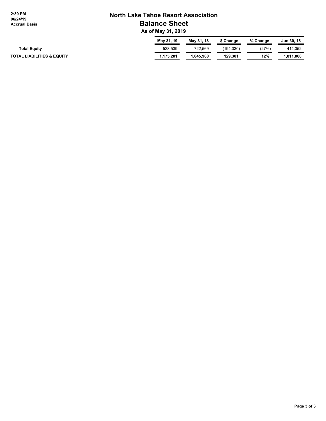**2:30 PM 06/24/19 Accrual Basis**

## **North Lake Tahoe Resort Association Balance Sheet**

 **As of May 31, 2019**

|                                       | May 31, 19 | May 31, 18 | Change     | % Change | Jun 30, 18 |
|---------------------------------------|------------|------------|------------|----------|------------|
| <b>Total Equity</b>                   | 528.539    | 722,569    | (194, 030) | (27%)    | 414.352    |
| <b>TOTAL LIABILITIES &amp; EQUITY</b> | 1.175.201  | .045.900   | 129.301    | 12%      | 1.011.060  |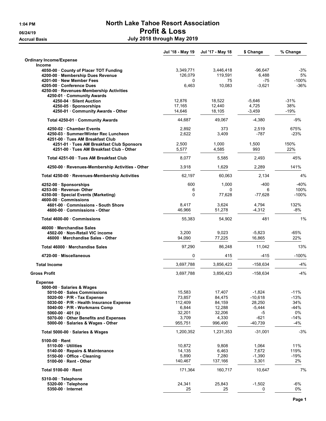# 1:04 PM North Lake Tahoe Resort Association 06/24/19 Profit & Loss Accrual Basis **Accrual Basis July 2018** through May 2019

|                                                                                                                                                                                                                                                   | Jul '18 - May 19                                         | Jul '17 - May 18                                         | \$ Change                                                  | % Change                                         |
|---------------------------------------------------------------------------------------------------------------------------------------------------------------------------------------------------------------------------------------------------|----------------------------------------------------------|----------------------------------------------------------|------------------------------------------------------------|--------------------------------------------------|
| <b>Ordinary Income/Expense</b><br><b>Income</b>                                                                                                                                                                                                   |                                                          |                                                          |                                                            |                                                  |
| 4050-00 County of Placer TOT Funding<br>4200-00 · Membership Dues Revenue                                                                                                                                                                         | 3,349,771<br>126,079                                     | 3,446,418<br>119,591                                     | $-96,647$<br>6,488                                         | $-3%$<br>5%                                      |
| 4201-00 · New Member Fees<br>4205-00 · Conference Dues<br>4250-00 · Revenues-Membership Activities                                                                                                                                                | 0<br>6,463                                               | 75<br>10,083                                             | -75<br>$-3.621$                                            | $-100%$<br>$-36%$                                |
| 4250-01 Community Awards<br>4250-04 · Silent Auction<br>4250-05 · Sponsorships                                                                                                                                                                    | 12,876<br>17,165                                         | 18,522<br>12,440                                         | $-5,646$<br>4,725                                          | -31%<br>38%                                      |
| 4250-01 · Community Awards - Other                                                                                                                                                                                                                | 14,646                                                   | 18,105                                                   | $-3,459$                                                   | -19%                                             |
| Total 4250-01 Community Awards                                                                                                                                                                                                                    | 44,687                                                   | 49,067                                                   | $-4,380$                                                   | $-9%$                                            |
| 4250-02 Chamber Events<br>4250-03 · Summer/Winter Rec Luncheon<br>4251-00 Tues AM Breakfast Club                                                                                                                                                  | 2,892<br>2,622                                           | 373<br>3,409                                             | 2,519<br>$-787$                                            | 675%<br>$-23%$                                   |
| 4251-01 · Tues AM Breakfast Club Sponsors<br>4251-00 Tues AM Breakfast Club - Other                                                                                                                                                               | 2,500<br>5,577                                           | 1,000<br>4,585                                           | 1,500<br>993                                               | 150%<br>22%                                      |
| Total 4251-00 Tues AM Breakfast Club                                                                                                                                                                                                              | 8,077                                                    | 5,585                                                    | 2,493                                                      | 45%                                              |
| 4250-00 · Revenues-Membership Activities - Other                                                                                                                                                                                                  | 3,918                                                    | 1,629                                                    | 2,289                                                      | 141%                                             |
| Total 4250-00 · Revenues-Membership Activities                                                                                                                                                                                                    | 62.197                                                   | 60,063                                                   | 2,134                                                      | 4%                                               |
| $4252-00 \cdot Sponsorships$<br>4253-00 Revenue- Other<br>4350-00 · Special Events (Marketing)                                                                                                                                                    | 600<br>6<br>$\Omega$                                     | 1,000<br>0                                               | $-400$<br>6                                                | $-40%$<br>100%                                   |
| 4600-00 Commissions                                                                                                                                                                                                                               |                                                          | 77,628                                                   | $-77,628$                                                  | -100%                                            |
| 4601-00 Commissions - South Shore<br>4600-00 · Commissions - Other                                                                                                                                                                                | 8,417<br>46,966                                          | 3,624<br>51,278                                          | 4,794<br>$-4,312$                                          | 132%<br>-8%                                      |
| Total 4600-00 Commissions                                                                                                                                                                                                                         | 55,383                                                   | 54,902                                                   | 481                                                        | 1%                                               |
| 46000 Merchandise Sales<br>4502-00 Non-Retail VIC income<br>46000 Merchandise Sales - Other                                                                                                                                                       | 3,200<br>94,090                                          | 9,023<br>77,225                                          | $-5,823$<br>16,865                                         | $-65%$<br>22%                                    |
| Total 46000 Merchandise Sales                                                                                                                                                                                                                     | 97,290                                                   | 86,248                                                   | 11,042                                                     | 13%                                              |
| 4720-00 Miscellaneous                                                                                                                                                                                                                             | 0                                                        | 415                                                      | $-415$                                                     | -100%                                            |
| <b>Total Income</b>                                                                                                                                                                                                                               | 3,697,788                                                | 3,856,423                                                | -158,634                                                   | $-4%$                                            |
| <b>Gross Profit</b>                                                                                                                                                                                                                               | 3,697,788                                                | 3,856,423                                                | $-158,634$                                                 | $-4%$                                            |
| <b>Expense</b><br>5000-00 · Salaries & Wages                                                                                                                                                                                                      | 15,583                                                   | 17,407                                                   | $-1,824$                                                   | $-11%$                                           |
| 5010-00 · Sales Commissions<br>$5020-00$ $\cdot$ P/R - Tax Expense<br>5030-00 · P/R - Health Insurance Expense<br>5040-00 · P/R - Workmans Comp<br>5060-00 · 401 (k)<br>5070-00 Other Benefits and Expenses<br>5000-00 · Salaries & Wages - Other | 73,857<br>112,409<br>6,844<br>32,201<br>3,709<br>955,751 | 84,475<br>84,159<br>12,288<br>32,206<br>4,330<br>996,490 | $-10,618$<br>28,250<br>$-5,444$<br>-5<br>-621<br>$-40,739$ | $-13%$<br>34%<br>$-44%$<br>0%<br>$-14%$<br>$-4%$ |
| Total 5000-00 · Salaries & Wages                                                                                                                                                                                                                  | 1,200,352                                                | 1,231,353                                                | $-31,001$                                                  | $-3%$                                            |
| $5100-00$ Rent<br>5110-00 Utilities<br>5140-00 · Repairs & Maintenance<br>5150-00 Office - Cleaning<br>5100-00 · Rent - Other                                                                                                                     | 10,872<br>14,135<br>5,890<br>140,467                     | 9,808<br>6,463<br>7,280<br>137,166                       | 1,064<br>7,672<br>$-1,390$<br>3,301                        | 11%<br>119%<br>$-19%$<br>2%                      |
| Total 5100-00 · Rent                                                                                                                                                                                                                              | 171,364                                                  | 160,717                                                  | 10,647                                                     | 7%                                               |
| $5310-00 \cdot$ Telephone                                                                                                                                                                                                                         |                                                          |                                                          |                                                            |                                                  |
| 5320-00 · Telephone<br>5350-00 - Internet                                                                                                                                                                                                         | 24,341<br>25                                             | 25,843<br>25                                             | $-1,502$<br>0                                              | -6%<br>0%                                        |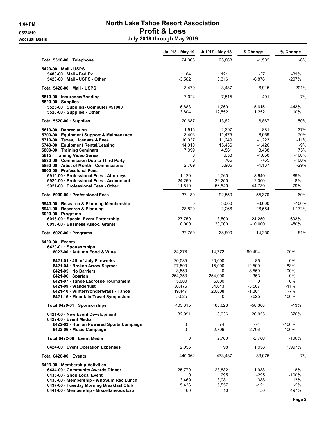# 1:04 PM North Lake Tahoe Resort Association 06/24/19 Profit & Loss Accrual Basis **Accrual Basis July 2018** through May 2019

|                                                                  | Jul '18 - May 19 | Jul '17 - May 18 | \$ Change      | % Change    |
|------------------------------------------------------------------|------------------|------------------|----------------|-------------|
| Total 5310-00 · Telephone                                        | 24,366           | 25,868           | $-1,502$       | $-6%$       |
| 5420-00 Mail - USPS                                              |                  |                  |                |             |
| 5480-00 Mail - Fed Ex                                            | 84               | 121              | $-37$          | $-31%$      |
| 5420-00 Mail - USPS - Other                                      | $-3,562$         | 3,316            | $-6,878$       | $-207%$     |
| Total 5420-00 Mail - USPS                                        | $-3,479$         | 3,437            | $-6,915$       | $-201%$     |
| 5510-00 · Insurance/Bonding                                      | 7,024            | 7,515            | -491           | $-7%$       |
| $5520-00$ · Supplies                                             |                  |                  |                |             |
| 5525-00 Supplies- Computer <\$1000<br>5520-00 · Supplies - Other | 6,883<br>13,804  | 1,269<br>12.552  | 5,615<br>1,252 | 443%<br>10% |
| Total 5520-00 · Supplies                                         | 20,687           | 13,821           | 6,867          | 50%         |
| 5610-00 Depreciation                                             | 1,515            | 2,397            | $-881$         | -37%        |
| 5700-00 · Equipment Support & Maintenance                        | 3,406            | 11,475           | $-8,069$       | -70%        |
| 5710-00 · Taxes, Licenses & Fees                                 | 10,027           | 11,249           | $-1,223$       | -11%        |
| 5740-00 · Equipment Rental/Leasing                               | 14,010           | 15,436           | $-1,426$       | $-9%$       |
| 5800-00 · Training Seminars                                      | 7,999            | 4,561            | 3,438          | 75%         |
| 5815 · Training Video Series                                     | 0                | 1,058            | $-1,058$       | $-100%$     |
| 5830-00 Commission Due to Third Party                            | $\Omega$         | 765              | $-765$         | $-100%$     |
| 5850-00 · Artist of Month - Commissions                          | 2,769            | 3,906            | $-1,137$       | -29%        |
| 5900-00 Professional Fees                                        |                  |                  |                |             |
| 5910-00 · Professional Fees - Attorneys                          | 1.120            | 9,760            | $-8,640$       | $-89%$      |
| 5920-00 · Professional Fees - Accountant                         | 24,250           | 26,250           | $-2,000$       | -8%         |
| 5921-00 Professional Fees - Other                                | 11,810           | 56,540           | $-44,730$      | $-79%$      |
| Total 5900-00 · Professional Fees                                | 37,180           | 92,550           | -55,370        | -60%        |
| 5940-00 · Research & Planning Membership                         | 0                | 3,000            | $-3,000$       | $-100%$     |
| 5941-00 · Research & Planning                                    | 28,820           | 2,266            | 26,554         | 1,172%      |
| $6020-00$ · Programs                                             |                  |                  |                |             |
| 6016-00 · Special Event Partnership                              | 27,750           | 3,500            | 24,250         | 693%        |
| 6018-00 Business Assoc. Grants                                   | 10,000           | 20,000           | $-10,000$      | $-50%$      |
| Total 6020-00 · Programs                                         | 37,750           | 23,500           | 14,250         | 61%         |
| $6420-00$ Events                                                 |                  |                  |                |             |
| 6420-01 Sponsorships                                             |                  |                  |                |             |
| 6023-00 · Autumn Food & Wine                                     | 34,278           | 114,772          | -80,494        | $-70%$      |
| 6421-01 · 4th of July Fireworks                                  | 20,085           | 20,000           | 85             | 0%          |
| 6421-04 · Broken Arrow Skyrace                                   | 27,500           | 15,000           | 12.500         | 83%         |
| 6421-05 · No Barriers                                            | 8,550            | $\Omega$         | 8,550          | 100%        |
| $6421-06 \cdot$ Spartan                                          | 254,353          | 254,000          | 353            | 0%          |
| 6421-07 · Tahoe Lacrosse Tournament                              | 5,000            | 5,000            | 0              | 0%          |
| 6421-09 Wanderlust                                               | 30,476           | 34,043           | $-3,567$       | $-11%$      |
| 6421-10 WinterWonderGrass - Tahoe                                | 19,447           | 20,808           | $-1,361$       | -7%         |
| 6421-16 · Mountain Travel Symposium                              | 5,625            | 0                | 5,625          | 100%        |
| Total 6420-01 · Sponsorships                                     | 405,315          | 463,623          | $-58,308$      | $-13%$      |
| 6421-00 New Event Development<br>6422-00 Event Media             | 32,991           | 6,936            | 26,055         | 376%        |
| 6422-03 · Human Powered Sports Campaign                          | 0                | 74               | -74            | $-100%$     |
| 6422-06 Music Campaign                                           | 0                | 2,706            | $-2,706$       | $-100%$     |
| Total 6422-00 Event Media                                        | 0                | 2,780            | $-2.780$       | $-100%$     |
| 6424-00 Event Operation Expenses                                 | 2,056            | 98               | 1,958          | 1,997%      |
| Total 6420-00 · Events                                           | 440,362          | 473,437          | $-33,075$      | $-7%$       |
| 6423-00 Membership Activities                                    |                  |                  |                |             |
| 6434-00 Community Awards Dinner                                  | 25,770           | 23,832           | 1,938          | 8%          |
| 6435-00 · Shop Local Event                                       | 0                | 295              | -295           | $-100%$     |
| 6436-00 · Membership - Wnt/Sum Rec Lunch                         | 3,469            | 3,081            | 388            | 13%         |
| 6437-00 Tuesday Morning Breakfast Club                           | 5,436            | 5,557            | -121           | $-2%$       |
| 6441-00 · Membership - Miscellaneous Exp                         | 60               | 10               | 50             | 497%        |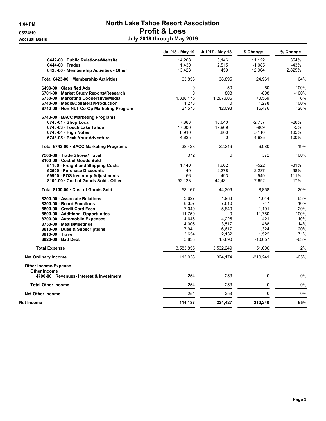# 1:04 PM North Lake Tahoe Resort Association 06/24/19 Profit & Loss Accrual Basis **Accrual Basis July 2018** through May 2019

|                                           | Jul '18 - May 19 | Jul '17 - May 18 | \$ Change  | % Change |
|-------------------------------------------|------------------|------------------|------------|----------|
| 6442-00 Public Relations/Website          | 14,268           | 3,146            | 11,122     | 354%     |
| $6444-00$ Trades                          | 1,430            | 2,515            | $-1,085$   | $-43%$   |
| 6423-00 Membership Activities - Other     | 13,423           | 459              | 12,964     | 2,825%   |
| Total 6423-00 · Membership Activities     | 63,856           | 38,895           | 24,961     | 64%      |
| 6490-00 Classified Ads                    | 0                | 50               | -50        | $-100%$  |
| 6701-00 · Market Study Reports/Research   | $\mathbf{0}$     | 808              | $-808$     | $-100%$  |
| 6730-00 · Marketing Cooperative/Media     | 1,338,175        | 1,267,606        | 70,569     | 6%       |
| 6740-00 Media/Collateral/Production       | 1,278            | 0                | 1,278      | 100%     |
| 6742-00 · Non-NLT Co-Op Marketing Program | 27,573           | 12,098           | 15,476     | 128%     |
| 6743-00 · BACC Marketing Programs         |                  |                  |            |          |
| 6743-01 · Shop Local                      | 7,883            | 10,640           | $-2,757$   | -26%     |
| 6743-03 · Touch Lake Tahoe                | 17,000           | 17,909           | $-909$     | -5%      |
| $6743-04$ · High Notes                    | 8,910            | 3,800            | 5,110      | 135%     |
| 6743-05 Peak Your Adventure               | 4,635            | 0                | 4,635      | 100%     |
| Total 6743-00 · BACC Marketing Programs   | 38,428           | 32,349           | 6,080      | 19%      |
| 7500-00 · Trade Shows/Travel              | 372              | 0                | 372        | 100%     |
| 8100-00 Cost of Goods Sold                |                  |                  |            |          |
| 51100 Freight and Shipping Costs          | 1,140            | 1,662            | $-522$     | $-31%$   |
| 52500 Purchase Discounts                  | $-40$            | -2,278           | 2,237      | 98%      |
| 59900 · POS Inventory Adjustments         | $-56$            | 493              | $-549$     | $-111%$  |
| 8100-00 Cost of Goods Sold - Other        | 52,123           | 44,431           | 7,692      | 17%      |
| Total 8100-00 Cost of Goods Sold          | 53,167           | 44,309           | 8,858      | 20%      |
| 8200-00 Associate Relations               | 3,627            | 1,983            | 1,644      | 83%      |
| 8300-00 Board Functions                   | 8,357            | 7,610            | 747        | 10%      |
| 8500-00 Credit Card Fees                  | 7,040            | 5,849            | 1,191      | 20%      |
| 8600-00 Additional Opportunites           | 11,750           | 0                | 11,750     | 100%     |
| 8700-00 Automobile Expenses               | 4,646            | 4,225            | 421        | 10%      |
| 8750-00 · Meals/Meetings                  | 4,005            | 3,517            | 488        | 14%      |
| 8810-00 Dues & Subscriptions              | 7,941            | 6,617            | 1,324      | 20%      |
| 8910-00 Travel                            | 3,654            | 2,132            | 1,522      | 71%      |
| 8920-00 Bad Debt                          | 5,833            | 15,890           | $-10,057$  | $-63%$   |
| <b>Total Expense</b>                      | 3,583,855        | 3,532,249        | 51,606     | 2%       |
| <b>Net Ordinary Income</b>                | 113,933          | 324,174          | $-210,241$ | $-65%$   |
| <b>Other Income/Expense</b>               |                  |                  |            |          |
| <b>Other Income</b>                       | 254              |                  | 0          |          |
| 4700-00 · Revenues- Interest & Investment |                  | 253              |            | 0%       |
| <b>Total Other Income</b>                 | 254              | 253              | 0          | 0%       |
| <b>Net Other Income</b>                   | 254              | 253              | 0          | 0%       |
| Net Income                                | 114,187          | 324,427          | -210,240   | $-65%$   |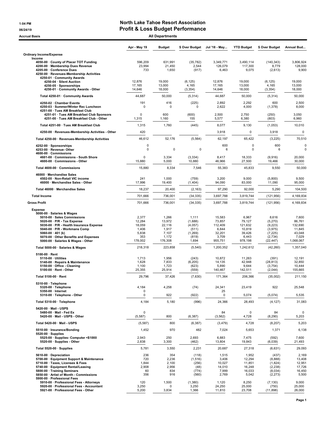#### 1:04 PM North Lake Tahoe Resort Association 06/24/19 06/24/19 **Profit & Loss Budget Performance**

| Accrual Basis                                                                                                                                                                                                                                                                                         |                                                               | <b>All Departments</b>                                          |                                                                   |                                                                    |                                                                    |                                                                            |                                                                      |
|-------------------------------------------------------------------------------------------------------------------------------------------------------------------------------------------------------------------------------------------------------------------------------------------------------|---------------------------------------------------------------|-----------------------------------------------------------------|-------------------------------------------------------------------|--------------------------------------------------------------------|--------------------------------------------------------------------|----------------------------------------------------------------------------|----------------------------------------------------------------------|
|                                                                                                                                                                                                                                                                                                       | Apr - May 19                                                  | <b>Budget</b>                                                   | \$ Over Budget                                                    | Jul '18 - May                                                      | <b>YTD Budget</b>                                                  | \$ Over Budget                                                             | Annual Bud                                                           |
| <b>Ordinary Income/Expense</b>                                                                                                                                                                                                                                                                        |                                                               |                                                                 |                                                                   |                                                                    |                                                                    |                                                                            |                                                                      |
| Income<br>4050-00 County of Placer TOT Funding<br>4200-00 · Membership Dues Revenue<br>4205-00 · Conference Dues<br>4250-00 · Revenues-Membership Activities                                                                                                                                          | 596,209<br>23,994<br>733                                      | 631,991<br>21,450<br>1,650                                      | (35, 782)<br>2,544<br>(917)                                       | 3.349.771<br>126,079<br>6,463                                      | 3,490,114<br>117,300<br>9,075                                      | (140, 343)<br>8,779<br>(2,613)                                             | 3,806,924<br>128,000<br>9,900                                        |
| 4250-01 · Community Awards<br>4250-04 · Silent Auction<br>4250-05 · Sponsorships<br>4250-01 · Community Awards - Other                                                                                                                                                                                | 12,876<br>17,165<br>14,646                                    | 19,000<br>13,000<br>18,000                                      | (6, 125)<br>4,165<br>(3, 354)                                     | 12,876<br>17,165<br>14,646                                         | 19,000<br>13,000<br>18,000                                         | (6, 125)<br>4,165<br>(3, 354)                                              | 19,000<br>13,000<br>18,000                                           |
| Total 4250-01 · Community Awards                                                                                                                                                                                                                                                                      | 44,687                                                        | 50,000                                                          | (5, 314)                                                          | 44,687                                                             | 50,000                                                             | (5,314)                                                                    | 50,000                                                               |
| 4250-02 · Chamber Events<br>4250-03 · Summer/Winter Rec Luncheon                                                                                                                                                                                                                                      | 191<br>0                                                      | 416<br>$\Omega$                                                 | (225)<br>0                                                        | 2,892<br>2,622                                                     | 2,292<br>4,000                                                     | 600<br>(1, 378)                                                            | 2,500<br>8,000                                                       |
| 4251-00 · Tues AM Breakfast Club<br>4251-01 · Tues AM Breakfast Club Sponsors<br>4251-00 · Tues AM Breakfast Club - Other                                                                                                                                                                             | $\mathsf 0$<br>1,315                                          | 600<br>1,160                                                    | (600)<br>155                                                      | 2,500<br>5,577                                                     | 2,750<br>6,380                                                     | (250)<br>(803)                                                             | 3,050<br>6,960                                                       |
| Total 4251-00 Tues AM Breakfast Club                                                                                                                                                                                                                                                                  | 1,315                                                         | 1,760                                                           | (445)                                                             | 8,077                                                              | 9,130                                                              | (1,053)                                                                    | 10,010                                                               |
| 4250-00 · Revenues-Membership Activities - Other                                                                                                                                                                                                                                                      | 420                                                           |                                                                 |                                                                   | 3,918                                                              | 0                                                                  | 3,918                                                                      | $\pmb{0}$                                                            |
| Total 4250-00 · Revenues-Membership Activities                                                                                                                                                                                                                                                        | 46,612                                                        | 52,176                                                          | (5, 564)                                                          | 62,197                                                             | 65,422                                                             | (3,225)                                                                    | 70,510                                                               |
| 4252-00 · Sponsorships<br>4253-00 · Revenue- Other<br>4600-00 · Commissions                                                                                                                                                                                                                           | $\pmb{0}$<br>$\mathbf 0$                                      | 0                                                               | 0                                                                 | 600<br>6                                                           | $\mathsf 0$<br>$\mathbf 0$                                         | 600<br>6                                                                   | 0<br>0                                                               |
| 4601-00 Commissions - South Shore<br>4600-00 · Commissions - Other                                                                                                                                                                                                                                    | 0<br>15,880                                                   | 3,334<br>5,000                                                  | (3, 334)<br>10,880                                                | 8,417<br>46,966                                                    | 18,333<br>27,500                                                   | (9,916)<br>19,466                                                          | 20,000<br>30,000                                                     |
| Total 4600-00 · Commissions                                                                                                                                                                                                                                                                           | 15,880                                                        | 8,334                                                           | 7,546                                                             | 55,383                                                             | 45,833                                                             | 9,550                                                                      | 50,000                                                               |
| 46000 · Merchandise Sales<br>4502-00 · Non-Retail VIC income<br>46000 · Merchandise Sales - Other                                                                                                                                                                                                     | 241<br>17,996                                                 | 1,000<br>19,400                                                 | (759)<br>(1, 404)                                                 | 3,200<br>94,090                                                    | 9,000<br>83,000                                                    | (5,800)<br>11,090                                                          | 9,500<br>95,000                                                      |
| Total 46000 · Merchandise Sales                                                                                                                                                                                                                                                                       | 18,237                                                        | 20,400                                                          | (2, 163)                                                          | 97,290                                                             | 92,000                                                             | 5,290                                                                      | 104,500                                                              |
| <b>Total Income</b>                                                                                                                                                                                                                                                                                   | 701,666                                                       | 736,001                                                         | (34, 335)                                                         | 3,697,788                                                          | 3,819,744                                                          | (121, 956)                                                                 | 4,169,834                                                            |
| <b>Gross Profit</b>                                                                                                                                                                                                                                                                                   | 701,666                                                       | 736,001                                                         | (34, 335)                                                         | 3,697,788                                                          | 3,819,744                                                          | (121, 956)                                                                 | 4,169,834                                                            |
| <b>Expense</b><br>5000-00 · Salaries & Wages<br>5010-00 · Sales Commissions<br>5020-00 $\cdot$ P/R - Tax Expense<br>5030-00 · P/R - Health Insurance Expense<br>5040-00 · P/R - Workmans Comp<br>5060-00 $\cdot$ 401 (k)<br>5070-00 Other Benefits and Expenses<br>5000-00 · Salaries & Wages - Other | 2,377<br>12,284<br>18,059<br>1,406<br>5,838<br>353<br>178,002 | 1,266<br>13,972<br>22,116<br>1,917<br>7,107<br>1,172<br>176,308 | 1,111<br>(1,688)<br>(4,057)<br>(511)<br>(1,269)<br>(819)<br>1,694 | 15,583<br>73,857<br>112,409<br>6,844<br>32,201<br>3,709<br>955,751 | 6,967<br>79,127<br>121,632<br>10,819<br>39,426<br>6,443<br>978,198 | 8,616<br>(5,270)<br>(9, 223)<br>(3,975)<br>(7, 225)<br>(2,734)<br>(22,447) | 7,600<br>86,761<br>132,690<br>11,845<br>43,048<br>7,029<br>1,068,067 |
| Total 5000-00 · Salaries & Wages                                                                                                                                                                                                                                                                      | 218,318                                                       | 223,858                                                         | (5, 540)                                                          | 1,200,352                                                          | 1,242,612                                                          | (42, 260)                                                                  | 1,357,040                                                            |
| $5100-00 \cdot$ Rent<br>$5110-00 \cdot$ Utilities<br>5140-00 · Repairs & Maintenance<br>5150-00 · Office - Cleaning<br>$5100-00 \cdot$ Rent - Other                                                                                                                                                   | 1,713<br>1,628<br>1,100<br>25,355                             | 1,956<br>7,833<br>1,723<br>25,914                               | (243)<br>(6, 205)<br>(623)<br>(559)                               | 10,872<br>14,135<br>5,890<br>140,467                               | 11,263<br>42,948<br>9,644<br>142,511                               | (391)<br>(28, 813)<br>(3,754)<br>(2,044)                                   | 12,191<br>32,850<br>10,444<br>155,665                                |
| Total 5100-00 · Rent                                                                                                                                                                                                                                                                                  | 29,796                                                        | 37,426                                                          | (7,630)                                                           | 171,364                                                            | 206,366                                                            | (35,002)                                                                   | 211,150                                                              |
| 5310-00 · Telephone<br>5320-00 · Telephone<br>5350-00 · Internet<br>5310-00 · Telephone - Other                                                                                                                                                                                                       | 4,184<br>0<br>0                                               | 4,258<br>922                                                    | (74)<br>(922)                                                     | 24,341<br>25<br>0                                                  | 23,419<br>5,074                                                    | 922<br>(5,074)                                                             | 25,548<br>5,535                                                      |
| Total 5310-00 · Telephone                                                                                                                                                                                                                                                                             | 4,184                                                         | 5,180                                                           | (996)                                                             | 24,366                                                             | 28,493                                                             | (4, 127)                                                                   | 31,083                                                               |
| 5420-00 Mail - USPS<br>5480-00 · Mail - Fed Ex<br>5420-00 · Mail - USPS - Other                                                                                                                                                                                                                       | 0                                                             | 800                                                             | (6, 387)                                                          | 84                                                                 | 0<br>4,728                                                         | 84                                                                         | 0<br>5,203                                                           |
| Total 5420-00 · Mail - USPS                                                                                                                                                                                                                                                                           | (5, 587)<br>(5,587)                                           | 800                                                             | (6, 387)                                                          | (3, 562)<br>(3, 479)                                               | 4,728                                                              | (8, 290)<br>(8, 207)                                                       | 5,203                                                                |
| 5510-00 · Insurance/Bonding                                                                                                                                                                                                                                                                           | 1,452                                                         | 970                                                             | 482                                                               | 7,024                                                              | 5,653                                                              | 1,371                                                                      | 6,138                                                                |
| $5520-00 \cdot$ Supplies<br>5525-00 · Supplies- Computer <\$1000<br>5520-00 · Supplies - Other                                                                                                                                                                                                        | 2,943<br>2,838                                                | 250<br>3,300                                                    | 2,693<br>(462)                                                    | 6,883<br>13,804                                                    | 7,475<br>19,843                                                    | (592)<br>(6,039)                                                           | 7,600<br>21,493                                                      |
| Total 5520-00 · Supplies                                                                                                                                                                                                                                                                              | 5,781                                                         | 3,550                                                           | 2,231                                                             | 20,687                                                             | 27,318                                                             | (6,631)                                                                    | 29,093                                                               |
| 5610-00 · Depreciation<br>5700-00 · Equipment Support & Maintenance<br>5710-00 · Taxes, Licenses & Fees<br>5740-00 · Equipment Rental/Leasing<br>5800-00 · Training Seminars<br>5850-00 · Artist of Month - Commissions<br>5900-00 · Professional Fees                                                | 236<br>720<br>1,844<br>2,908<br>60<br>356                     | 354<br>2,236<br>2,100<br>2,956<br>834<br>916                    | (118)<br>(1, 516)<br>(256)<br>(48)<br>(774)<br>(560)              | 1,515<br>3,406<br>10,027<br>14,010<br>7,999<br>2,769               | 1,952<br>12,294<br>11,851<br>16,248<br>16,033<br>5,042             | (437)<br>(8,888)<br>(1,824)<br>(2, 238)<br>(8,034)<br>(2, 273)             | 2,169<br>13,408<br>12,951<br>17,726<br>16,450<br>5,500               |
| 5910-00 · Professional Fees - Attorneys<br>5920-00 · Professional Fees - Accountant<br>5921-00 · Professional Fees - Other                                                                                                                                                                            | 120<br>3,250<br>5,200                                         | 1,500<br>3,834                                                  | (1,380)<br>3,250<br>1,366                                         | 1,120<br>24,250<br>11,810                                          | 8,250<br>25,000<br>23,708                                          | (7, 130)<br>(750)<br>(11, 898)                                             | 9,000<br>25,000<br>26,000                                            |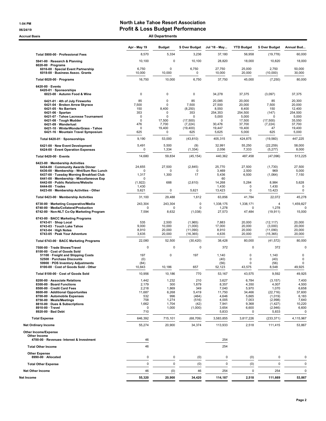### 1:04 PM North Lake Tahoe Resort Association 06/24/19 06/24/19 **Profit & Loss Budget Performance**

Accrual Basis **Accrual Basis** All Departments

|                                                                                                                                                                                                                                                                                              | Apr - May 19                                                         | <b>Budget</b>                                                                          | \$ Over Budget                                                                         | Jul '18 - May                                                                   | <b>YTD Budget</b>                                                                    | \$ Over Budget                                                                                | Annual Bud                                                                            |
|----------------------------------------------------------------------------------------------------------------------------------------------------------------------------------------------------------------------------------------------------------------------------------------------|----------------------------------------------------------------------|----------------------------------------------------------------------------------------|----------------------------------------------------------------------------------------|---------------------------------------------------------------------------------|--------------------------------------------------------------------------------------|-----------------------------------------------------------------------------------------------|---------------------------------------------------------------------------------------|
| Total 5900-00 · Professional Fees                                                                                                                                                                                                                                                            | 8,570                                                                | 5,334                                                                                  | 3,236                                                                                  | 37,180                                                                          | 56,958                                                                               | (19, 778)                                                                                     | 60,000                                                                                |
| 5941-00 · Research & Planning<br>$6020-00 \cdot$ Programs                                                                                                                                                                                                                                    | 10,100                                                               | 0                                                                                      | 10,100                                                                                 | 28,820                                                                          | 18,000                                                                               | 10,820                                                                                        | 18,000                                                                                |
| 6016-00 · Special Event Partnership<br>6018-00 · Business Assoc. Grants                                                                                                                                                                                                                      | 6,750<br>10,000                                                      | $\mathbf 0$<br>10,000                                                                  | 6,750<br>0                                                                             | 27,750<br>10,000                                                                | 25,000<br>20,000                                                                     | 2,750<br>(10,000)                                                                             | 50,000<br>30,000                                                                      |
| Total 6020-00 · Programs                                                                                                                                                                                                                                                                     | 16,750                                                               | 10,000                                                                                 | 6,750                                                                                  | 37,750                                                                          | 45,000                                                                               | (7, 250)                                                                                      | 80,000                                                                                |
| $6420-00 \cdot$ Events<br>6420-01 · Sponsorships                                                                                                                                                                                                                                             |                                                                      |                                                                                        |                                                                                        |                                                                                 |                                                                                      |                                                                                               |                                                                                       |
| 6023-00 · Autumn Food & Wine                                                                                                                                                                                                                                                                 | $\mathsf 0$                                                          | 0                                                                                      | 0                                                                                      | 34,278                                                                          | 37,375                                                                               | (3,097)                                                                                       | 37,375                                                                                |
| 6421-01 · 4th of July Fireworks<br>6421-04 · Broken Arrow Skyrace<br>6421-05 · No Barriers<br>$6421-06 \cdot$ Spartan<br>6421-07 · Tahoe Lacrosse Tournament<br>6421-08 · Tough Mudder<br>6421-09 · Wanderlust<br>6421-10 · WinterWonderGrass - Tahoe<br>6421-16 · Mountain Travel Symposium | 85<br>7,500<br>150<br>353<br>0<br>0<br>476<br>$\mathsf 0$<br>625     | 0<br>$\mathbf 0$<br>8,400<br>$\mathbf 0$<br>$\Omega$<br>17,500<br>7,700<br>19,400<br>0 | 85<br>7,500<br>(8, 250)<br>353<br>$\Omega$<br>(17,500)<br>(7, 224)<br>(19, 400)<br>625 | 20,085<br>27,500<br>8,550<br>254,353<br>5,000<br>0<br>30,476<br>19,447<br>5,625 | 20,000<br>20,000<br>8,400<br>254,500<br>5,000<br>17,500<br>37,700<br>19,400<br>5,000 | 85<br>7,500<br>150<br>(147)<br>0<br>(17,500)<br>(7, 224)<br>47<br>625                         | 20,300<br>20,000<br>12,400<br>254,500<br>5,000<br>35,550<br>37,700<br>19,400<br>5,000 |
| Total 6420-01 · Sponsorships                                                                                                                                                                                                                                                                 | 9,190                                                                | 53,000                                                                                 | (43, 810)                                                                              | 405,315                                                                         | 424,875                                                                              | (19, 560)                                                                                     | 447,225                                                                               |
| 6421-00 · New Event Development                                                                                                                                                                                                                                                              | 5,491                                                                | 5,500                                                                                  | (9)                                                                                    | 32,991                                                                          | 55,250                                                                               | (22, 259)                                                                                     | 58,000                                                                                |
| 6424-00 · Event Operation Expenses                                                                                                                                                                                                                                                           | 0                                                                    | 1,334                                                                                  | (1, 334)                                                                               | 2,056                                                                           | 7,333                                                                                | (5,277)                                                                                       | 8,000                                                                                 |
| Total 6420-00 · Events                                                                                                                                                                                                                                                                       | 14,680                                                               | 59,834                                                                                 | (45, 154)                                                                              | 440,362                                                                         | 487,458                                                                              | (47,096)                                                                                      | 513,225                                                                               |
| 6423-00 · Membership Activities<br>6434-00 · Community Awards Dinner<br>6436-00 · Membership - Wnt/Sum Rec Lunch<br>6437-00 · Tuesday Morning Breakfast Club<br>6441-00 · Membership - Miscellaneous Exp<br>6442-00 · Public Relations/Website                                               | 24,655<br>$\Omega$<br>1,317<br>n<br>(1,922)                          | 27,500<br>$\Omega$<br>1,300<br>688                                                     | (2,845)<br>$\Omega$<br>17<br>(2,610)                                                   | 25,770<br>3,469<br>5,436<br>60<br>14,268                                        | 27,500<br>2,500<br>6,500<br>5,284                                                    | (1,730)<br>969<br>(1,064)<br>8,984                                                            | 27,500<br>5,000<br>7,150<br>5,628                                                     |
| $6444-00 \cdot Trades$<br>6423-00 · Membership Activities - Other                                                                                                                                                                                                                            | 1,430<br>5,621                                                       | $\pmb{0}$                                                                              | 5,621                                                                                  | 1,430<br>13,423                                                                 | 0<br>0                                                                               | 1,430<br>13,423                                                                               | 0<br>$\pmb{0}$                                                                        |
| Total 6423-00 · Membership Activities                                                                                                                                                                                                                                                        | 31,100                                                               | 29,488                                                                                 | 1,612                                                                                  | 63,856                                                                          | 41,784                                                                               | 22,072                                                                                        | 45,278                                                                                |
| 6730-00 · Marketing Cooperative/Media<br>6740-00 · Media/Collateral/Production<br>6742-00 · Non-NLT Co-Op Marketing Program                                                                                                                                                                  | 243,304<br>0<br>7,594                                                | 243,304<br>$\mathbf 0$<br>8,632                                                        | 0<br>$\Omega$<br>(1,038)                                                               | 1,338,175<br>1,278<br>27,573                                                    | 1,338,171<br>0<br>47,484                                                             | 4<br>1,278<br>(19, 911)                                                                       | 1,459,827<br>$\Omega$<br>15,000                                                       |
| 6743-00 · BACC Marketing Programs<br>6743-01 · Shop Local<br>6743-03 · Touch Lake Tahoe<br>6743-04 · High Notes<br>6743-05 · Peak Your Adventure                                                                                                                                             | 535<br>9,000<br>8,910<br>3,635                                       | 2,500<br>10,000<br>20,000<br>20,000                                                    | (1,965)<br>(1,000)<br>(11,090)<br>(16, 365)                                            | 7,883<br>17,000<br>8,910<br>4,635                                               | 20,000<br>20,000<br>20,000<br>20,000                                                 | (12, 117)<br>(3,000)<br>(11,090)<br>(15, 365)                                                 | 20,000<br>20,000<br>20,000<br>20,000                                                  |
| Total 6743-00 · BACC Marketing Programs                                                                                                                                                                                                                                                      | 22,080                                                               | 52,500                                                                                 | (30, 420)                                                                              | 38,428                                                                          | 80,000                                                                               | (41, 572)                                                                                     | 80,000                                                                                |
| 7500-00 · Trade Shows/Travel<br>8100-00 · Cost of Goods Sold                                                                                                                                                                                                                                 | 0                                                                    | $\Omega$                                                                               | $\mathbf 0$                                                                            | 372                                                                             | 0                                                                                    | 372                                                                                           | 0                                                                                     |
| 51100 · Freight and Shipping Costs<br>52500 · Purchase Discounts<br>59900 · POS Inventory Adjustments<br>8100-00 · Cost of Goods Sold - Other                                                                                                                                                | 197<br>(0)<br>(84)<br>10,843                                         | $\mathbf 0$<br>10,186                                                                  | 197<br>657                                                                             | 1,140<br>(40)<br>(56)<br>52,123                                                 | $\mathbf 0$<br>0<br>0<br>43,575                                                      | 1,140<br>(40)<br>(56)<br>8,548                                                                | 0<br>0<br>0<br>49,925                                                                 |
| Total 8100-00 · Cost of Goods Sold                                                                                                                                                                                                                                                           | 10,956                                                               | 10,186                                                                                 | 770                                                                                    | 53,167                                                                          | 43,575                                                                               | 9,592                                                                                         | 49,925                                                                                |
| 8200-00 · Associate Relations<br>8300-00 · Board Functions<br>8500-00 · Credit Card Fees<br>8600-00 · Additional Opportunites<br>8700-00 · Automobile Expenses<br>8750-00 · Meals/Meetings<br>8810-00 · Dues & Subscriptions<br>8910-00 · Travel<br>8920-00 · Bad Debt                       | 1,442<br>2,179<br>2,218<br>11,687<br>532<br>758<br>1,662<br>0<br>710 | 1,232<br>300<br>1,869<br>6,268<br>996<br>1,274<br>1,704<br>1,000                       | 210<br>1,879<br>349<br>5,419<br>(464)<br>(516)<br>(42)<br>(1,000)                      | 3,627<br>8,357<br>7,040<br>11,750<br>4,646<br>4,005<br>7,941<br>3,654<br>5,833  | 6,784<br>4,350<br>5,970<br>34,466<br>5,665<br>7,003<br>9,368<br>6,600<br>0           | (3, 157)<br>4,007<br>1,070<br>(22, 716)<br>(1,019)<br>(2,998)<br>(1, 427)<br>(2,946)<br>5,833 | 7,400<br>4,500<br>6,658<br>37,600<br>6,183<br>7,640<br>10,220<br>6,600<br>0           |
| <b>Total Expense</b>                                                                                                                                                                                                                                                                         | 646,392                                                              | 715,101                                                                                | (68, 709)                                                                              | 3,583,855                                                                       | 3,817,226                                                                            | (233, 371)                                                                                    | 4,115,967                                                                             |
| <b>Net Ordinary Income</b>                                                                                                                                                                                                                                                                   | 55,274                                                               | 20,900                                                                                 | 34,374                                                                                 | 113,933                                                                         | 2,518                                                                                | 111,415                                                                                       | 53,867                                                                                |
| <b>Other Income/Expense</b><br>Other Income<br>4700-00 · Revenues- Interest & Investment                                                                                                                                                                                                     | 46                                                                   |                                                                                        |                                                                                        | 254                                                                             |                                                                                      |                                                                                               |                                                                                       |
| <b>Total Other Income</b>                                                                                                                                                                                                                                                                    | 46                                                                   |                                                                                        |                                                                                        | 254                                                                             |                                                                                      |                                                                                               |                                                                                       |
| <b>Other Expense</b><br>8990-00 · Allocated                                                                                                                                                                                                                                                  | 0                                                                    | 0                                                                                      | (0)                                                                                    | 0                                                                               | (0)                                                                                  | 0                                                                                             | 0                                                                                     |
| <b>Total Other Expense</b>                                                                                                                                                                                                                                                                   | 0                                                                    | $\mathbf 0$                                                                            | (0)                                                                                    | $\mathbf 0$                                                                     | (0)                                                                                  | 0                                                                                             | $\mathbf 0$                                                                           |
| <b>Net Other Income</b>                                                                                                                                                                                                                                                                      | 46                                                                   | (0)                                                                                    | 46                                                                                     | 254                                                                             | $\pmb{0}$                                                                            | 254                                                                                           | $\mathbf 0$                                                                           |
| Net Income                                                                                                                                                                                                                                                                                   | 55,320                                                               | 20,900                                                                                 | 34,420                                                                                 | 114,187                                                                         | 2,518                                                                                | 111,669                                                                                       | 53,867                                                                                |
|                                                                                                                                                                                                                                                                                              |                                                                      |                                                                                        |                                                                                        |                                                                                 |                                                                                      |                                                                                               |                                                                                       |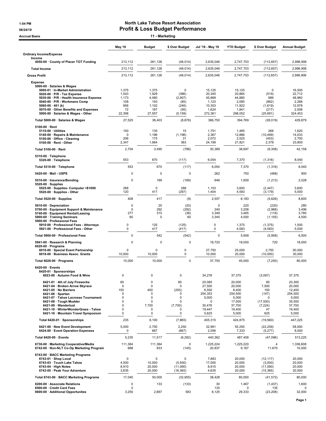#### 1:04 PM North Lake Tahoe Resort Association 06/24/19 06/24/19

| 11 - Marketing<br><b>Accrual Basis</b>                                                                                                                                                                                                                                                       |                                                       |                                                                                         |                                                                                 |                                                                                 |                                                                                      |                                                                       |                                                                                       |
|----------------------------------------------------------------------------------------------------------------------------------------------------------------------------------------------------------------------------------------------------------------------------------------------|-------------------------------------------------------|-----------------------------------------------------------------------------------------|---------------------------------------------------------------------------------|---------------------------------------------------------------------------------|--------------------------------------------------------------------------------------|-----------------------------------------------------------------------|---------------------------------------------------------------------------------------|
|                                                                                                                                                                                                                                                                                              | May 19                                                | <b>Budget</b>                                                                           | \$ Over Budget                                                                  | Jul '18 - May 19                                                                | <b>YTD Budget</b>                                                                    | \$ Over Budget                                                        | <b>Annual Budget</b>                                                                  |
| <b>Ordinary Income/Expense</b>                                                                                                                                                                                                                                                               |                                                       |                                                                                         |                                                                                 |                                                                                 |                                                                                      |                                                                       |                                                                                       |
| Income<br>4050-00 County of Placer TOT Funding                                                                                                                                                                                                                                               | 213,112                                               | 261,126                                                                                 | (48, 014)                                                                       | 2,635,046                                                                       | 2,747,703                                                                            | (112, 657)                                                            | 2,996,906                                                                             |
| <b>Total Income</b>                                                                                                                                                                                                                                                                          | 213,112                                               | 261,126                                                                                 | (48, 014)                                                                       | 2,635,046                                                                       | 2,747,703                                                                            | (112, 657)                                                            | 2,996,906                                                                             |
| <b>Gross Profit</b>                                                                                                                                                                                                                                                                          | 213,112                                               | 261,126                                                                                 | (48, 014)                                                                       | 2,635,046                                                                       | 2,747,703                                                                            | (112, 657)                                                            | 2,996,906                                                                             |
| <b>Expense</b>                                                                                                                                                                                                                                                                               |                                                       |                                                                                         |                                                                                 |                                                                                 |                                                                                      |                                                                       |                                                                                       |
| 5000-00 · Salaries & Wages<br>5000-01 · In-Market Administration<br>$5020-00 \cdot P/R$ - Tax Expense<br>5030-00 · P/R - Health Insurance Expense<br>5040-00 · P/R - Workmans Comp<br>$5060-00 \cdot 401$ (k)<br>5070-00 · Other Benefits and Expenses<br>5000-00 · Salaries & Wages - Other | 1,375<br>1,543<br>1,173<br>108<br>856<br>72<br>22,398 | 1,375<br>1,929<br>4,080<br>193<br>1,102<br>167<br>27,557                                | $\mathbf 0$<br>(386)<br>(2,907)<br>(85)<br>(246)<br>(95)<br>(5, 159)            | 15,125<br>20,345<br>45,869<br>1,123<br>10,303<br>1,624<br>272,361               | 15,125<br>20,864<br>44,880<br>2,085<br>11,922<br>1,841<br>298,052                    | 0<br>(519)<br>989<br>(962)<br>(1,619)<br>(217)<br>(25, 691)           | 16,500<br>22,712<br>48,960<br>2,268<br>12,978<br>2,008<br>324,453                     |
| Total 5000-00 · Salaries & Wages                                                                                                                                                                                                                                                             | 27,525                                                | 36,403                                                                                  | (8,878)                                                                         | 366,750                                                                         | 394,769                                                                              | (28, 019)                                                             | 429,879                                                                               |
| $5100-00 \cdot$ Rent<br>$5110-00 \cdot$ Utilities<br>5140-00 · Repairs & Maintenance<br>5150-00 · Office - Cleaning<br>5100-00 · Rent - Other                                                                                                                                                | 150<br>$\mathbf 0$<br>206<br>2,347                    | 135<br>1,196<br>175<br>1,984                                                            | 15<br>(1, 196)<br>31<br>363                                                     | 1,751<br>2,367<br>2,072<br>24,199                                               | 1,485<br>12,866<br>2,525<br>21,821                                                   | 266<br>(10, 499)<br>(453)<br>2,378                                    | 1,620<br>14,033<br>2,700<br>23,805                                                    |
| Total 5100-00 · Rent                                                                                                                                                                                                                                                                         | 2,704                                                 | 3,490                                                                                   | (786)                                                                           | 30,389                                                                          | 38,697                                                                               | (8,308)                                                               | 42,158                                                                                |
| 5310-00 · Telephone<br>5320-00 · Telephone                                                                                                                                                                                                                                                   | 553                                                   | 670                                                                                     | (117)                                                                           | 6,054                                                                           | 7,370                                                                                | (1, 316)                                                              | 8,040                                                                                 |
| Total 5310-00 · Telephone                                                                                                                                                                                                                                                                    | 553                                                   | 670                                                                                     | (117)                                                                           | 6,054                                                                           | 7,370                                                                                | (1, 316)                                                              | 8,040                                                                                 |
| 5420-00 Mail - USPS                                                                                                                                                                                                                                                                          | $\Omega$                                              | $\mathbf 0$                                                                             | $\Omega$                                                                        | 262                                                                             | 750                                                                                  | (488)                                                                 | 900                                                                                   |
| 5510-00 · Insurance/Bonding                                                                                                                                                                                                                                                                  | 0                                                     | 169                                                                                     | (169)                                                                           | 646                                                                             | 1,859                                                                                | (1,213)                                                               | 2,028                                                                                 |
| 5520-00 · Supplies<br>5525-00 · Supplies- Computer <\$1000<br>5520-00 · Supplies - Other                                                                                                                                                                                                     | 288<br>120                                            | $\mathbf 0$<br>417                                                                      | 288<br>(297)                                                                    | 1,153<br>1,404                                                                  | 3,600<br>4,583                                                                       | (2, 447)<br>(3, 179)                                                  | 3,600<br>5,000                                                                        |
| Total 5520-00 · Supplies                                                                                                                                                                                                                                                                     | 408                                                   | 417                                                                                     | (9)                                                                             | 2,557                                                                           | 8,183                                                                                | (5,626)                                                               | 8,600                                                                                 |
| 5610-00 · Depreciation<br>5700-00 · Equipment Support & Maintenance<br>5740-00 · Equipment Rental/Leasing<br>5800-00 · Training Seminars                                                                                                                                                     | $\Omega$<br>$\Omega$<br>277<br>60                     | 20<br>292<br>315<br>$\mathbf 0$                                                         | (20)<br>(292)<br>(38)<br>60                                                     | $\mathbf 0$<br>240<br>3,349<br>3,345                                            | 220<br>3,208<br>3,465<br>4,500                                                       | (220)<br>(2,968)<br>(116)<br>(1, 155)                                 | 280<br>3,496<br>3,780<br>4,500                                                        |
| 5900-00 · Professional Fees<br>5910-00 · Professional Fees - Attorneys<br>5921-00 · Professional Fees - Other                                                                                                                                                                                | 0<br>$\mathbf 0$                                      | 125<br>417                                                                              | (125)<br>(417)                                                                  | $\mathsf 0$<br>$\mathsf 0$                                                      | 1,375<br>4,583                                                                       | (1, 375)<br>(4, 583)                                                  | 1,500<br>5,000                                                                        |
| Total 5900-00 · Professional Fees                                                                                                                                                                                                                                                            | $\mathbf 0$                                           | 542                                                                                     | (542)                                                                           | $\mathbf 0$                                                                     | 5,958                                                                                | (5,958)                                                               | 6,500                                                                                 |
| 5941-00 · Research & Planning<br>6020-00 $\cdot$ Programs                                                                                                                                                                                                                                    | 0                                                     | $\mathbf 0$                                                                             | 0                                                                               | 18,720                                                                          | 18,000                                                                               | 720                                                                   | 18,000                                                                                |
| 6016-00 · Special Event Partnership<br>6018-00 · Business Assoc. Grants                                                                                                                                                                                                                      | $\mathbf 0$<br>10,000                                 | 0<br>10,000                                                                             | 0<br>$\mathbf 0$                                                                | 27,750<br>10,000                                                                | 25,000<br>20,000                                                                     | 2,750<br>(10,000)                                                     | 50,000<br>30,000                                                                      |
| Total 6020-00 · Programs                                                                                                                                                                                                                                                                     | 10,000                                                | 10,000                                                                                  | 0                                                                               | 37,750                                                                          | 45,000                                                                               | (7, 250)                                                              | 80,000                                                                                |
| 6420-00 · Events<br>6420-01 · Sponsorships<br>6023-00 · Autumn Food & Wine                                                                                                                                                                                                                   | 0                                                     | $\mathbf 0$                                                                             | $\mathbf 0$                                                                     | 34,278                                                                          | 37,375                                                                               | (3,097)                                                               | 37,375                                                                                |
| 6421-01 · 4th of July Fireworks<br>6421-04 · Broken Arrow Skyrace<br>6421-05 · No Barriers<br>$6421-06 \cdot$ Spartan<br>6421-07 · Tahoe Lacrosse Tournament<br>6421-08 · Tough Mudder<br>6421-09 · Wanderlust<br>6421-10 · WinterWonderGrass - Tahoe<br>6421-16 · Mountain Travel Symposium | 85<br>0<br>150<br>0<br>0<br>0<br>0<br>0<br>0          | $\mathbf 0$<br>$\mathbf 0$<br>400<br>0<br>$\mathbf 0$<br>$\mathbf 0$<br>7,700<br>0<br>0 | 85<br>$\mathbf 0$<br>(250)<br>0<br>$\mathbf 0$<br>$\Omega$<br>(7,700)<br>0<br>0 | 20,085<br>27,500<br>8,550<br>254.353<br>5,000<br>0<br>30,476<br>19,447<br>5,625 | 20,000<br>20,000<br>8,400<br>254,500<br>5,000<br>17,500<br>37,700<br>19,400<br>5,000 | 85<br>7,500<br>150<br>(147)<br>0<br>(17,500)<br>(7, 224)<br>47<br>625 | 20,300<br>20,000<br>12,400<br>254,500<br>5,000<br>35,550<br>37,700<br>19,400<br>5,000 |
| Total 6420-01 · Sponsorships                                                                                                                                                                                                                                                                 | 235                                                   | 8,100                                                                                   | (7, 865)                                                                        | 405,315                                                                         | 424,875                                                                              | (19, 560)                                                             | 447,225                                                                               |
| 6421-00 · New Event Development<br>6424-00 · Event Operation Expenses                                                                                                                                                                                                                        | 5,000<br>0                                            | 2,750<br>667                                                                            | 2,250<br>(667)                                                                  | 32,991<br>2,056                                                                 | 55,250<br>7,333                                                                      | (22, 259)<br>(5, 277)                                                 | 58,000<br>8,000                                                                       |
| Total 6420-00 · Events                                                                                                                                                                                                                                                                       | 5,235                                                 | 11,517                                                                                  | (6, 282)                                                                        | 440,362                                                                         | 487,458                                                                              | (47,096)                                                              | 513,225                                                                               |
| 6730-00 · Marketing Cooperative/Media<br>6742-00 · Non-NLT Co-Op Marketing Program                                                                                                                                                                                                           | 111,384<br>688                                        | 111,384<br>833                                                                          | $\mathbf 0$<br>(145)                                                            | 1,225,224<br>20,837                                                             | 1,225,220<br>9,167                                                                   | 4<br>11,670                                                           | 1,336,608<br>10,000                                                                   |
| 6743-00 · BACC Marketing Programs<br>6743-01 · Shop Local<br>6743-03 · Touch Lake Tahoe<br>6743-04 · High Notes<br>6743-05 · Peak Your Adventure                                                                                                                                             | 0<br>4,500<br>8,910<br>3,635                          | $\mathbf 0$<br>10,000<br>20,000<br>20,000                                               | 0<br>(5,500)<br>(11,090)<br>(16, 365)                                           | 7,883<br>17,000<br>8,910<br>4,635                                               | 20,000<br>20,000<br>20,000<br>20,000                                                 | (12, 117)<br>(3,000)<br>(11,090)<br>(15, 365)                         | 20,000<br>20,000<br>20,000<br>20,000                                                  |
| Total 6743-00 · BACC Marketing Programs                                                                                                                                                                                                                                                      | 17,045                                                | 50,000                                                                                  | (32, 955)                                                                       | 38,428                                                                          | 80,000                                                                               | (41, 572)                                                             | 80,000                                                                                |
| 8200-00 · Associate Relations<br>8500-00 Credit Card Fees<br>8600-00 · Additional Opportunites                                                                                                                                                                                               | $\Omega$<br>0<br>3,250                                | 133<br>2,667                                                                            | (133)<br>583                                                                    | 30<br>135<br>6,125                                                              | 1,467<br>0<br>29,333                                                                 | (1, 437)<br>135<br>(23, 208)                                          | 1,600<br>0<br>32,000                                                                  |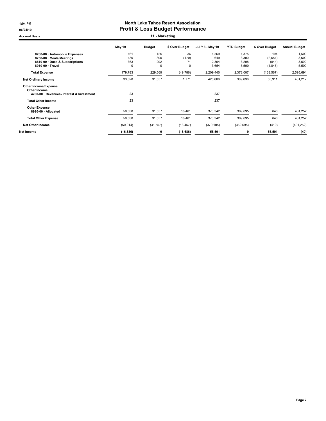#### 1:04 PM North Lake Tahoe Resort Association 06/24/19 06/24/19

Accrual Basis **11 - Marketing** 

|                                                                                                               | May 19                 | <b>Budget</b>                    | \$ Over Budget         | Jul '18 - May 19               | <b>YTD Budget</b>                | \$ Over Budget                     | <b>Annual Budget</b>             |
|---------------------------------------------------------------------------------------------------------------|------------------------|----------------------------------|------------------------|--------------------------------|----------------------------------|------------------------------------|----------------------------------|
| 8700-00 · Automobile Expenses<br>8750-00 · Meals/Meetings<br>8810-00 Dues & Subscriptions<br>8910-00 · Travel | 161<br>130<br>363<br>0 | 125<br>300<br>292<br>$\mathbf 0$ | 36<br>(170)<br>71<br>0 | 1,569<br>649<br>2,364<br>3,654 | 1,375<br>3,300<br>3,208<br>5,500 | 194<br>(2,651)<br>(844)<br>(1,846) | 1,500<br>3,600<br>3,500<br>5,500 |
| <b>Total Expense</b>                                                                                          | 179,783                | 229,569                          | (49, 786)              | 2,209,440                      | 2,378,007                        | (168, 567)                         | 2,595,694                        |
| <b>Net Ordinary Income</b>                                                                                    | 33,328                 | 31,557                           | 1,771                  | 425,606                        | 369,696                          | 55,911                             | 401,212                          |
| Other Income/Expense<br>Other Income<br>4700-00 · Revenues- Interest & Investment                             | 23                     |                                  |                        | 237                            |                                  |                                    |                                  |
| <b>Total Other Income</b>                                                                                     | 23                     |                                  |                        | 237                            |                                  |                                    |                                  |
| <b>Other Expense</b><br>8990-00 · Allocated                                                                   | 50,038                 | 31,557                           | 18,481                 | 370,342                        | 369,695                          | 646                                | 401,252                          |
| <b>Total Other Expense</b>                                                                                    | 50,038                 | 31,557                           | 18,481                 | 370,342                        | 369,695                          | 646                                | 401,252                          |
| Net Other Income                                                                                              | (50, 014)              | (31, 557)                        | (18, 457)              | (370, 105)                     | (369, 695)                       | (410)                              | (401, 252)                       |
| Net Income                                                                                                    | (16, 686)              | 0                                | (16, 686)              | 55,501                         | 0                                | 55,501                             | (40)                             |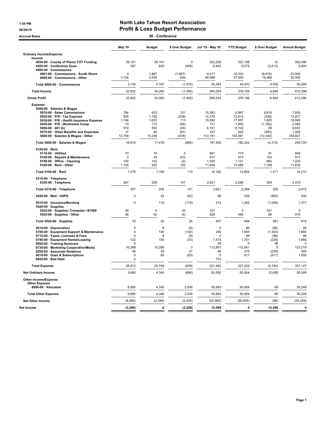### 1:04 PM North Lake Tahoe Resort Association 06/24/19 06/24/19 **Profit & Loss Budget Performance**

| <b>Accrual Basis</b>                                                                                                                                                                                                                                   |                                                                        | 30 - Conference                      |                                                  |                                                      |                                                   |                                                                 |                                                          |
|--------------------------------------------------------------------------------------------------------------------------------------------------------------------------------------------------------------------------------------------------------|------------------------------------------------------------------------|--------------------------------------|--------------------------------------------------|------------------------------------------------------|---------------------------------------------------|-----------------------------------------------------------------|----------------------------------------------------------|
|                                                                                                                                                                                                                                                        | May 19                                                                 | <b>Budget</b>                        | \$ Over Budget                                   | Jul '18 - May 19                                     | <b>YTD Budget</b>                                 | \$ Over Budget                                                  | <b>Annual Budget</b>                                     |
| <b>Ordinary Income/Expense</b>                                                                                                                                                                                                                         |                                                                        |                                      |                                                  |                                                      |                                                   |                                                                 |                                                          |
| Income<br>4050-00 County of Placer TOT Funding                                                                                                                                                                                                         | 29,101                                                                 | 29.101                               | $\Omega$                                         | 323,208                                              | 323,198                                           | 10                                                              | 352,496                                                  |
| 4205-00 · Conference Dues<br>4600-00 · Commissions                                                                                                                                                                                                     | 367                                                                    | 825                                  | (458)                                            | 6,463                                                | 9,075                                             | (2,613)                                                         | 9,900                                                    |
| 4601-00 Commissions - South Shore<br>4600-00 Commissions - Other                                                                                                                                                                                       | $\mathbf 0$<br>3,134                                                   | 1,667<br>2,500                       | (1,667)<br>634                                   | 8,417<br>46,966                                      | 18,333<br>27,500                                  | (9,916)<br>19,466                                               | 20,000<br>30,000                                         |
| Total 4600-00 · Commissions                                                                                                                                                                                                                            | 3,134                                                                  | 4,167                                | (1,033)                                          | 55,383                                               | 45,833                                            | 9,550                                                           | 50,000                                                   |
| <b>Total Income</b>                                                                                                                                                                                                                                    | 32,602                                                                 | 34,093                               | (1, 492)                                         | 385,054                                              | 378,106                                           | 6,948                                                           | 412,396                                                  |
| <b>Gross Profit</b>                                                                                                                                                                                                                                    | 32,602                                                                 | 34,093                               | (1, 492)                                         | 385,054                                              | 378,106                                           | 6,948                                                           | 412,396                                                  |
| <b>Expense</b><br>5000-00 · Salaries & Wages<br>5010-00 · Sales Commissions<br>5020-00 · P/R - Tax Expense<br>5030-00 · P/R - Health Insurance Expense<br>5040-00 · P/R - Workmans Comp<br>5060-00 $\cdot$ 401 (k)                                     | 784<br>926<br>1,746<br>73<br>510                                       | 633<br>1,165<br>1,633<br>172<br>555  | 151<br>(239)<br>113<br>(99)<br>(45)              | 15,583<br>12,276<br>19,582<br>731<br>6,161           | 6,967<br>12,812<br>17,957<br>1,893<br>6,102       | 8,616<br>(536)<br>1,625<br>(1, 162)<br>59                       | 7,600<br>13,977<br>19,590<br>2,065<br>6,657              |
| 5070-00 Other Benefits and Expenses<br>5000-00 · Salaries & Wages - Other                                                                                                                                                                              | 17<br>12,758                                                           | 84<br>13,236                         | (67)<br>(478)                                    | 437<br>133,161                                       | 920<br>145,591                                    | (483)<br>(12, 430)                                              | 1,004<br>158,827                                         |
| Total 5000-00 · Salaries & Wages                                                                                                                                                                                                                       | 16,814                                                                 | 17,478                               | (664)                                            | 187,930                                              | 192,242                                           | (4, 312)                                                        | 209,720                                                  |
| 5100-00 · Rent<br>5110-00 · Utilities<br>5140-00 · Repairs & Maintenance<br>5150-00 Office - Cleaning<br>5100-00 · Rent - Other                                                                                                                        | 73<br>$\mathbf 0$<br>100<br>1,105                                      | 70<br>43<br>102<br>953               | 3<br>(43)<br>(2)<br>152                          | 851<br>637<br>1,025<br>11,649                        | 770<br>474<br>1,121<br>10,480                     | 81<br>163<br>(96)<br>1,169                                      | 840<br>517<br>1,223<br>11,630                            |
| Total 5100-00 · Rent                                                                                                                                                                                                                                   | 1,278                                                                  | 1,168                                | 110                                              | 14,162                                               | 12,845                                            | 1,317                                                           | 14,210                                                   |
| 5310-00 · Telephone<br>5320-00 · Telephone                                                                                                                                                                                                             | 307                                                                    | 206                                  | 101                                              | 2,621                                                | 2,266                                             | 355                                                             | 2,472                                                    |
| Total 5310-00 · Telephone                                                                                                                                                                                                                              | 307                                                                    | 206                                  | 101                                              | 2,621                                                | 2,266                                             | 355                                                             | 2,472                                                    |
| 5420-00 · Mail - USPS                                                                                                                                                                                                                                  | $\Omega$                                                               | 42                                   | (42)                                             | 98                                                   | 458                                               | (360)                                                           | 500                                                      |
| 5510-00 · Insurance/Bonding<br>5520-00 · Supplies                                                                                                                                                                                                      | $\Omega$                                                               | 115                                  | (115)                                            | 213                                                  | 1,262                                             | (1,049)                                                         | 1,377                                                    |
| 5525-00 · Supplies- Computer <\$1000<br>5520-00 · Supplies - Other                                                                                                                                                                                     | 30<br>48                                                               | $\pmb{0}$<br>52                      | 30<br>(4)                                        | 331<br>626                                           | $\mathbf 0$<br>566                                | 331<br>60                                                       | $\mathbf 0$<br>618                                       |
| Total 5520-00 · Supplies                                                                                                                                                                                                                               | 78                                                                     | 52                                   | 26                                               | 957                                                  | 566                                               | 391                                                             | 618                                                      |
| 5610-00 · Depreciation<br>5700-00 · Equipment Support & Maintenance<br>5710-00 · Taxes, Licenses & Fees<br>5740-00 · Equipment Rental/Leasing<br>5800-00 · Training Seminars<br>6730-00 · Marketing Cooperative/Media<br>8200-00 · Associate Relations | $\Omega$<br>$\Omega$<br>$\mathbf 0$<br>122<br>$\Omega$<br>10.268<br>46 | 8<br>140<br>8<br>155<br>10.268<br>25 | (8)<br>(140)<br>(8)<br>(33)<br>$\mathbf 0$<br>21 | $\Omega$<br>240<br>0<br>1,473<br>38<br>112,951<br>46 | 86<br>1,545<br>88<br>1,701<br>0<br>112,951<br>275 | (86)<br>(1, 305)<br>(88)<br>(228)<br>38<br>$\mathbf 0$<br>(229) | 94<br>1,685<br>96<br>1,856<br>$\Omega$<br>123,219<br>300 |
| 8810-00 · Dues & Subscriptions<br>8920-00 · Bad Debt                                                                                                                                                                                                   | $\pmb{0}$<br>0                                                         | 83                                   | (83)                                             | $\mathbf 0$<br>733                                   | 917                                               | (917)                                                           | 1,000                                                    |
| <b>Total Expense</b>                                                                                                                                                                                                                                   | 28,912                                                                 | 29,748                               | (836)                                            | 321,462                                              | 327,202                                           | (5,740)                                                         | 357,147                                                  |
| <b>Net Ordinary Income</b>                                                                                                                                                                                                                             | 3,690                                                                  | 4,345                                | (656)                                            | 63,592                                               | 50,904                                            | 12,688                                                          | 55,249                                                   |
| Other Income/Expense<br><b>Other Expense</b><br>8990-00 · Allocated                                                                                                                                                                                    | 6,890                                                                  | 4,345                                | 2,545                                            | 50,993                                               | 50,904                                            | 89                                                              | 55,249                                                   |
| <b>Total Other Expense</b>                                                                                                                                                                                                                             | 6,890                                                                  | 4,345                                | 2,545                                            | 50,993                                               | 50,904                                            | 89                                                              | 55,249                                                   |
| <b>Net Other Income</b>                                                                                                                                                                                                                                | (6, 890)                                                               | (4, 345)                             | (2, 545)                                         | (50, 993)                                            | (50, 904)                                         | (89)                                                            | (55, 249)                                                |
| Net Income                                                                                                                                                                                                                                             | (3, 200)                                                               | 0                                    | (3, 200)                                         | 12,599                                               | $\mathbf{0}$                                      | 12,599                                                          | $\mathbf 0$                                              |
|                                                                                                                                                                                                                                                        |                                                                        |                                      |                                                  |                                                      |                                                   |                                                                 |                                                          |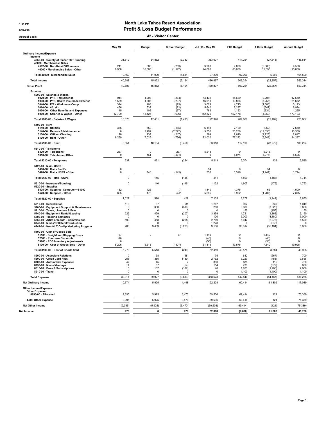#### 1:04 PM North Lake Tahoe Resort Association 06/24/19 06/24/19

Accrual Basis 42 - Visitor Center

|                                                                                                                                                                                                                                                                                                               | May 19                                                                   | <b>Budget</b>                                                        | \$ Over Budget                                                                   | Jul '18 - May 19                                                       | <b>YTD Budget</b>                                                    | \$ Over Budget                                                                  | <b>Annual Budget</b>                                                  |
|---------------------------------------------------------------------------------------------------------------------------------------------------------------------------------------------------------------------------------------------------------------------------------------------------------------|--------------------------------------------------------------------------|----------------------------------------------------------------------|----------------------------------------------------------------------------------|------------------------------------------------------------------------|----------------------------------------------------------------------|---------------------------------------------------------------------------------|-----------------------------------------------------------------------|
| <b>Ordinary Income/Expense</b>                                                                                                                                                                                                                                                                                |                                                                          |                                                                      |                                                                                  |                                                                        |                                                                      |                                                                                 |                                                                       |
| Income<br>4050-00 · County of Placer TOT Funding<br>46000 · Merchandise Sales                                                                                                                                                                                                                                 | 31,519                                                                   | 34,852                                                               | (3, 333)                                                                         | 383,607                                                                | 411,254                                                              | (27, 648)                                                                       | 448,844                                                               |
| 4502-00 · Non-Retail VIC income<br>46000 · Merchandise Sales - Other                                                                                                                                                                                                                                          | 211<br>8,958                                                             | 500<br>10,500                                                        | (289)<br>(1, 542)                                                                | 3,200<br>94.090                                                        | 9,000<br>83,000                                                      | (5,800)<br>11,090                                                               | 9,500<br>95,000                                                       |
| Total 46000 · Merchandise Sales                                                                                                                                                                                                                                                                               | 9,169                                                                    | 11,000                                                               | (1, 831)                                                                         | 97,290                                                                 | 92,000                                                               | 5,290                                                                           | 104,500                                                               |
| <b>Total Income</b>                                                                                                                                                                                                                                                                                           | 40,688                                                                   | 45,852                                                               | (5, 164)                                                                         | 480,897                                                                | 503,254                                                              | (22, 357)                                                                       | 553,344                                                               |
| <b>Gross Profit</b>                                                                                                                                                                                                                                                                                           | 40,688                                                                   | 45,852                                                               | (5, 164)                                                                         | 480,897                                                                | 503,254                                                              | (22, 357)                                                                       | 553,344                                                               |
| <b>Expense</b><br>5000-00 · Salaries & Wages<br>5020-00 · P/R - Tax Expense<br>5030-00 · P/R - Health Insurance Expense<br>5040-00 · P/R - Workmans Comp<br>$5060 - 00 \cdot 401$ (k)<br>5070-00 · Other Benefits and Expenses<br>5000-00 · Salaries & Wages - Other                                          | 944<br>1,569<br>324<br>466<br>45<br>12,729                               | 1,208<br>1,806<br>403<br>537<br>102<br>13,425                        | (264)<br>(237)<br>(79)<br>(71)<br>(57)<br>(696)                                  | 13,432<br>16,611<br>3,029<br>5,640<br>789<br>152,825                   | 15,639<br>19,866<br>4,715<br>6,287<br>1,123<br>157,178               | (2, 207)<br>(3,255)<br>(1,686)<br>(647)<br>(334)<br>(4, 353)                    | 17,550<br>21,672<br>5,193<br>6,924<br>1,225<br>173,103                |
| Total 5000-00 · Salaries & Wages                                                                                                                                                                                                                                                                              | 16,078                                                                   | 17,481                                                               | (1, 403)                                                                         | 192,326                                                                | 204,808                                                              | (12, 482)                                                                       | 225,667                                                               |
| $5100-00 \cdot$ Rent<br>5110-00 · Utilities<br>5140-00 · Repairs & Maintenance<br>5150-00 · Office - Cleaning<br>5100-00 · Rent - Other                                                                                                                                                                       | 365<br>$\mathbf 0$<br>20<br>6,269                                        | 550<br>2,292<br>237<br>7,025                                         | (185)<br>(2, 292)<br>(217)<br>(756)                                              | 6,148<br>5,355<br>384<br>72,030                                        | 7,100<br>25,208<br>2,610<br>77,272                                   | (952)<br>(19, 853)<br>(2, 226)<br>(5, 242)                                      | 7,650<br>13,500<br>2,847<br>84,297                                    |
| Total 5100-00 · Rent                                                                                                                                                                                                                                                                                          | 6,654                                                                    | 10,104                                                               | (3, 450)                                                                         | 83,918                                                                 | 112,190                                                              | (28, 272)                                                                       | 108,294                                                               |
| 5310-00 · Telephone<br>5320-00 · Telephone<br>5310-00 · Telephone - Other                                                                                                                                                                                                                                     | 237<br>$\mathbf 0$                                                       | $\mathsf 0$<br>461                                                   | 237<br>(461)                                                                     | 5,213<br>$\mathbf 0$                                                   | $\pmb{0}$<br>5,074                                                   | 5,213<br>(5,074)                                                                | 0<br>5.535                                                            |
| Total 5310-00 · Telephone                                                                                                                                                                                                                                                                                     | 237                                                                      | 461                                                                  | (224)                                                                            | 5,213                                                                  | 5,074                                                                | 139                                                                             | 5,535                                                                 |
| 5420-00 · Mail - USPS<br>5480-00 · Mail - Fed Ex<br>5420-00 · Mail - USPS - Other                                                                                                                                                                                                                             | 0<br>$\mathbf 0$                                                         | 145                                                                  | (145)                                                                            | 54<br>358                                                              | $\Omega$<br>1,599                                                    | 54<br>(1, 241)                                                                  | $\Omega$<br>1,744                                                     |
| Total 5420-00 · Mail - USPS                                                                                                                                                                                                                                                                                   | $\Omega$                                                                 | 145                                                                  | (145)                                                                            | 411                                                                    | 1,599                                                                | (1, 188)                                                                        | 1,744                                                                 |
| 5510-00 · Insurance/Bonding                                                                                                                                                                                                                                                                                   | $\mathbf 0$                                                              | 146                                                                  | (146)                                                                            | 1,132                                                                  | 1,607                                                                | (475)                                                                           | 1,753                                                                 |
| $5520-00 \cdot$ Supplies<br>5525-00 · Supplies- Computer <\$1000<br>5520-00 · Supplies - Other                                                                                                                                                                                                                | 132<br>895                                                               | 125<br>473                                                           | $\overline{7}$<br>422                                                            | 1.440<br>5,695                                                         | 1.375<br>6,902                                                       | 65<br>(1, 207)                                                                  | 1.500<br>7,375                                                        |
| Total 5520-00 · Supplies                                                                                                                                                                                                                                                                                      | 1,027                                                                    | 598                                                                  | 429                                                                              | 7,135                                                                  | 8,277                                                                | (1, 142)                                                                        | 8,875                                                                 |
| 5610-00 · Depreciation<br>5700-00 · Equipment Support & Maintenance<br>5710-00 · Taxes, Licenses & Fees<br>5740-00 · Equipment Rental/Leasing<br>5800-00 · Training Seminars<br>5850-00 · Artist of Month - Commissions<br>6740-00 · Media/Collateral/Production<br>6742-00 · Non-NLT Co-Op Marketing Program | 118<br>$\Omega$<br>$\Omega$<br>222<br>$\Omega$<br>190<br>$\Omega$<br>200 | 87<br>300<br>$\Omega$<br>429<br>$\Omega$<br>458<br>$\Omega$<br>3,483 | 31<br>(300)<br>$\mathbf 0$<br>(207)<br>$\Omega$<br>(268)<br>$\Omega$<br>(3, 283) | 1,297<br>280<br>$\mathbf 0$<br>3,359<br>120<br>2.769<br>1,278<br>3,136 | 962<br>3.300<br>155<br>4.721<br>5,000<br>5,042<br>$\Omega$<br>38,317 | 335<br>(3,020)<br>(155)<br>(1.362)<br>(4,880)<br>(2, 273)<br>1,278<br>(35, 181) | 1,049<br>3.600<br>155<br>5.150<br>5,000<br>5,500<br>$\Omega$<br>5,000 |
| 8100-00 · Cost of Goods Sold<br>51100 · Freight and Shipping Costs<br>52500 · Purchase Discounts<br>59900 · POS Inventory Adjustments<br>8100-00 Cost of Goods Sold - Other                                                                                                                                   | 67<br>(0)<br>$\Omega$<br>5,206                                           | $\pmb{0}$<br>5,513                                                   | 67<br>(307)                                                                      | 1,140<br>(40)<br>(56)<br>51,415                                        | $\mathbf 0$<br>$\mathbf 0$<br>$\mathbf 0$<br>43,575                  | 1,140<br>(40)<br>(56)<br>7,840                                                  | 0<br>$\mathsf 0$<br>0<br>49,925                                       |
| Total 8100-00 · Cost of Goods Sold                                                                                                                                                                                                                                                                            | 5,273                                                                    | 5,513                                                                | (240)                                                                            | 52,459                                                                 | 43,575                                                               | 8,884                                                                           | 49,925                                                                |
| 8200-00 · Associate Relations<br>8500-00 · Credit Card Fees<br>8700-00 · Automobile Expenses<br>8750-00 · Meals/Meetings<br>8810-00 · Dues & Subscriptions<br>8910-00 Travel                                                                                                                                  | $\Omega$<br>255<br>47<br>14<br>$\Omega$<br>0                             | 58<br>385<br>45<br>67<br>167<br>$\mathbf 0$                          | (58)<br>(130)<br>2<br>(54)<br>(167)<br>$\mathbf 0$                               | 75<br>2,762<br>800<br>154<br>48<br>$\mathbf 0$                         | 642<br>3,220<br>685<br>733<br>1.833<br>1,100                         | (567)<br>(458)<br>115<br>(579)<br>(1,785)<br>(1, 100)                           | 700<br>3,658<br>750<br>800<br>2,000<br>1,100                          |
| <b>Total Expense</b>                                                                                                                                                                                                                                                                                          | 30,314                                                                   | 39,927                                                               | (9,613)                                                                          | 358,673                                                                | 442,840                                                              | (84, 167)                                                                       | 436,255                                                               |
| <b>Net Ordinary Income</b>                                                                                                                                                                                                                                                                                    | 10,374                                                                   | 5,925                                                                | 4,448                                                                            | 122,224                                                                | 60,414                                                               | 61,809                                                                          | 117,089                                                               |
| <b>Other Income/Expense</b><br><b>Other Expense</b><br>8990-00 · Allocated                                                                                                                                                                                                                                    | 9,395                                                                    | 5,925                                                                | 3,470                                                                            | 69,536                                                                 | 69,414                                                               | 121                                                                             | 75,339                                                                |
| <b>Total Other Expense</b>                                                                                                                                                                                                                                                                                    | 9,395                                                                    | 5,925                                                                | 3,470                                                                            | 69,536                                                                 | 69,414                                                               | 121                                                                             | 75,339                                                                |
| Net Other Income                                                                                                                                                                                                                                                                                              | (9, 395)                                                                 | (5,925)                                                              | (3, 470)                                                                         | (69, 536)                                                              | (69, 414)                                                            | (121)                                                                           | (75, 339)                                                             |
| Net Income                                                                                                                                                                                                                                                                                                    | 978                                                                      | $\mathbf{0}$                                                         | 978                                                                              | 52,688                                                                 | (9,000)                                                              | 61,688                                                                          | 41,750                                                                |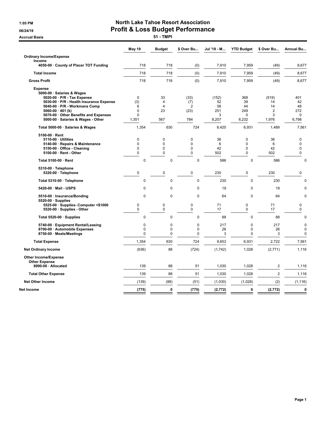**Accrual Basis** 

# 1:05 PM North Lake Tahoe Resort Association 06/24/19<br>Accrual Basis **Profit & Loss Budget Performance**

|                                                                                                                                                                                                                            | May 19                                               | <b>Budget</b>                   | \$ Over Bu                                   | Jul '18 - M                   | <b>YTD Budget</b>                  | \$ Over Bu                               | Annual Bu                                 |
|----------------------------------------------------------------------------------------------------------------------------------------------------------------------------------------------------------------------------|------------------------------------------------------|---------------------------------|----------------------------------------------|-------------------------------|------------------------------------|------------------------------------------|-------------------------------------------|
| <b>Ordinary Income/Expense</b>                                                                                                                                                                                             |                                                      |                                 |                                              |                               |                                    |                                          |                                           |
| Income<br>4050-00 · County of Placer TOT Funding                                                                                                                                                                           | 718                                                  | 718                             | (0)                                          | 7,910                         | 7,959                              | (49)                                     | 8,677                                     |
| <b>Total Income</b>                                                                                                                                                                                                        | 718                                                  | 718                             | (0)                                          | 7,910                         | 7,959                              | (49)                                     | 8,677                                     |
| <b>Gross Profit</b>                                                                                                                                                                                                        | 718                                                  | 718                             | (0)                                          | 7,910                         | 7,959                              | (49)                                     | 8,677                                     |
| <b>Expense</b><br>5000-00 · Salaries & Wages<br>5020-00 · P/R - Tax Expense<br>5030-00 · P/R - Health Insurance Expense<br>5040-00 · P/R - Workmans Comp<br>5060-00 $\cdot$ 401 (k)<br>5070-00 Other Benefits and Expenses | $\mathbf 0$<br>(3)<br>6<br>$\mathbf 0$<br>$\Omega$   | 33<br>$\overline{4}$<br>4<br>23 | (33)<br>(7)<br>$\overline{2}$<br>(23)        | (152)<br>52<br>58<br>251<br>3 | 368<br>39<br>44<br>249<br>$\Omega$ | (519)<br>14<br>14<br>$\overline{2}$<br>3 | 401<br>42<br>48<br>272<br>$\Omega$        |
| 5000-00 · Salaries & Wages - Other                                                                                                                                                                                         | 1,351                                                | 567                             | 784                                          | 8,207                         | 6,232                              | 1,976                                    | 6,798                                     |
| Total 5000-00 · Salaries & Wages                                                                                                                                                                                           | 1,354                                                | 630                             | 724                                          | 8,420                         | 6,931                              | 1,489                                    | 7,561                                     |
| 5100-00 · Rent<br>5110-00 · Utilities<br>5140-00 · Repairs & Maintenance<br>5150-00 · Office - Cleaning<br>5100-00 · Rent - Other                                                                                          | $\mathbf 0$<br>$\mathbf 0$<br>$\pmb{0}$<br>$\pmb{0}$ | 0<br>0<br>0<br>$\mathbf 0$      | 0<br>$\mathbf 0$<br>$\pmb{0}$<br>$\mathbf 0$ | 36<br>6<br>42<br>502          | 0<br>0<br>0<br>$\mathbf 0$         | 36<br>6<br>42<br>502                     | 0<br>0<br>0<br>0                          |
| Total 5100-00 · Rent                                                                                                                                                                                                       | 0                                                    | 0                               | 0                                            | 586                           | $\pmb{0}$                          | 586                                      | $\mathbf 0$                               |
| 5310-00 · Telephone<br>5320-00 · Telephone                                                                                                                                                                                 | $\pmb{0}$                                            | $\mathbf 0$                     | $\mathbf 0$                                  | 230                           | $\mathbf 0$                        | 230                                      | $\mathbf 0$                               |
|                                                                                                                                                                                                                            |                                                      |                                 |                                              |                               |                                    |                                          |                                           |
| Total 5310-00 · Telephone                                                                                                                                                                                                  | $\mathbf 0$                                          | $\mathbf 0$                     | 0                                            | 230                           | $\mathbf 0$                        | 230                                      | $\mathbf 0$                               |
| 5420-00 · Mail - USPS                                                                                                                                                                                                      | 0                                                    | 0                               | 0                                            | 19                            | 0                                  | 19                                       | 0                                         |
| 5510-00 · Insurance/Bonding<br>$5520-00 \cdot$ Supplies<br>5525-00 · Supplies- Computer <\$1000<br>5520-00 · Supplies - Other                                                                                              | $\Omega$<br>0<br>$\mathbf 0$                         | $\Omega$<br>0<br>$\mathbf 0$    | $\Omega$<br>0<br>$\mathbf 0$                 | 64<br>71<br>17                | $\mathbf 0$<br>0<br>$\mathbf 0$    | 64<br>71<br>17                           | $\mathbf 0$<br>0<br>$\mathbf 0$           |
| Total 5520-00 · Supplies                                                                                                                                                                                                   | $\mathbf 0$                                          | $\mathbf 0$                     | $\mathbf 0$                                  | 88                            | $\mathbf 0$                        | 88                                       | $\mathbf 0$                               |
| 5740-00 · Equipment Rental/Leasing<br>8700-00 · Automobile Expenses<br>8750-00 · Meals/Meetings                                                                                                                            | 0<br>0<br>0                                          | 0<br>0<br>0                     | 0<br>0<br>0                                  | 217<br>26<br>3                | $\mathbf 0$<br>0<br>0              | 217<br>26<br>3                           | $\mathbf 0$<br>$\mathbf 0$<br>$\mathbf 0$ |
| <b>Total Expense</b>                                                                                                                                                                                                       | 1,354                                                | 630                             | 724                                          | 9,653                         | 6,931                              | 2,722                                    | 7,561                                     |
| <b>Net Ordinary Income</b>                                                                                                                                                                                                 | (636)                                                | 88                              | (724)                                        | (1,742)                       | 1,028                              | (2,771)                                  | 1,116                                     |
| <b>Other Income/Expense</b><br><b>Other Expense</b>                                                                                                                                                                        |                                                      |                                 |                                              |                               |                                    |                                          |                                           |
| 8990-00 · Allocated                                                                                                                                                                                                        | 139                                                  | 88                              | 51                                           | 1,030                         | 1,028                              | $\overline{c}$                           | 1,116                                     |
| <b>Total Other Expense</b>                                                                                                                                                                                                 | 139                                                  | 88                              | 51                                           | 1,030                         | 1,028                              | $\overline{2}$                           | 1,116                                     |
| <b>Net Other Income</b>                                                                                                                                                                                                    | (139)                                                | (88)                            | (51)                                         | (1,030)                       | (1,028)                            | (2)                                      | (1, 116)                                  |
| Net Income                                                                                                                                                                                                                 | (775)                                                | $\mathbf 0$                     | (775)                                        | (2, 772)                      | 0                                  | (2, 772)                                 | $\mathbf 0$                               |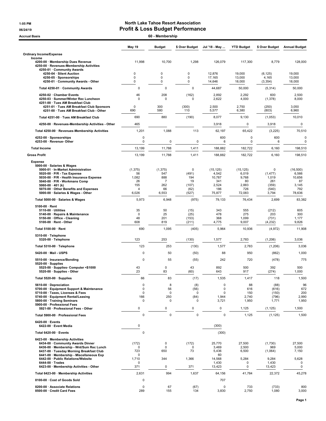# 1:05 PM North Lake Tahoe Resort Association

| 06/24/19                                                                                                                                                      |                         | <b>Profit &amp; Loss Budget Performance</b> |                      |                              |                             |                        |                              |  |  |  |
|---------------------------------------------------------------------------------------------------------------------------------------------------------------|-------------------------|---------------------------------------------|----------------------|------------------------------|-----------------------------|------------------------|------------------------------|--|--|--|
| 60 - Membership<br><b>Accrual Basis</b>                                                                                                                       |                         |                                             |                      |                              |                             |                        |                              |  |  |  |
|                                                                                                                                                               | <b>May 19</b>           | <b>Budget</b>                               | \$ Over Budget       | Jul '18 - May                | <b>YTD Budget</b>           | \$ Over Budget         | <b>Annual Budget</b>         |  |  |  |
| <b>Ordinary Income/Expense</b>                                                                                                                                |                         |                                             |                      |                              |                             |                        |                              |  |  |  |
| Income<br>4200-00 · Membership Dues Revenue<br>4250-00 · Revenues-Membership Activities                                                                       | 11,998                  | 10,700                                      | 1,298                | 126,079                      | 117,300                     | 8,779                  | 128,000                      |  |  |  |
| 4250-01 · Community Awards<br>4250-04 · Silent Auction                                                                                                        | 0                       | 0                                           | $\mathbf 0$          | 12,876                       | 19,000                      | (6, 125)               | 19,000                       |  |  |  |
| 4250-05 · Sponsorships<br>4250-01 Community Awards - Other                                                                                                    | 0<br>0                  | 0<br>0                                      | 0<br>$\mathbf 0$     | 17,165<br>14,646             | 13,000<br>18,000            | 4,165<br>(3, 354)      | 13,000<br>18,000             |  |  |  |
| Total 4250-01 · Community Awards                                                                                                                              | 0                       | 0                                           | $\mathbf 0$          | 44,687                       | 50,000                      | (5,314)                | 50,000                       |  |  |  |
| 4250-02 · Chamber Events                                                                                                                                      | 46<br>$\mathbf 0$       | 208<br>$\Omega$                             | (162)<br>$\mathbf 0$ | 2,892                        | 2,292                       | 600                    | 2,500                        |  |  |  |
| 4250-03 · Summer/Winter Rec Luncheon<br>4251-00 · Tues AM Breakfast Club<br>4251-01 · Tues AM Breakfast Club Sponsors                                         | 0                       | 300                                         | (300)                | 2,622<br>2,500               | 4,000<br>2,750              | (1, 378)<br>(250)      | 8,000<br>3,050               |  |  |  |
| 4251-00 · Tues AM Breakfast Club - Other                                                                                                                      | 690                     | 580                                         | 110                  | 5,577                        | 6,380                       | (803)                  | 6,960                        |  |  |  |
| Total 4251-00 · Tues AM Breakfast Club                                                                                                                        | 690                     | 880                                         | (190)                | 8,077                        | 9,130                       | (1,053)                | 10,010                       |  |  |  |
| 4250-00 · Revenues-Membership Activities - Other                                                                                                              | 465                     |                                             |                      | 3,918                        | 0                           | 3,918                  | 0                            |  |  |  |
| Total 4250-00 · Revenues-Membership Activities                                                                                                                | 1,201                   | 1,088                                       | 113                  | 62,197                       | 65,422                      | (3,225)                | 70,510                       |  |  |  |
| 4252-00 · Sponsorships<br>4253-00 · Revenue- Other                                                                                                            | 0<br>0                  | 0                                           | 0                    | 600<br>6                     | 0<br>0                      | 600<br>6               | $\mathbf 0$<br>$\mathbf 0$   |  |  |  |
| <b>Total Income</b>                                                                                                                                           | 13,199                  | 11,788                                      | 1,411                | 188,882                      | 182,722                     | 6,160                  | 198,510                      |  |  |  |
| <b>Gross Profit</b>                                                                                                                                           | 13,199                  | 11,788                                      | 1,411                | 188,882                      | 182,722                     | 6,160                  | 198,510                      |  |  |  |
| <b>Expense</b><br>5000-00 · Salaries & Wages<br>5000-01 · In-Market Administration<br>5020-00 · P/R - Tax Expense<br>5030-00 · P/R - Health Insurance Expense | (1, 375)<br>56<br>1,082 | (1, 375)<br>547<br>888                      | 0<br>(491)<br>194    | (15, 125)<br>4,542<br>10,787 | (15, 125)<br>6,019<br>9,768 | 0<br>(1, 477)<br>1,019 | (16, 500)<br>6,566<br>10,656 |  |  |  |
| 5040-00 · P/R - Workmans Comp<br>5060-00 $\cdot$ 401 (k)                                                                                                      | 26<br>155               | $\overline{7}$<br>262                       | 19<br>(107)          | 341<br>2,524                 | 80<br>2,883                 | 261<br>(359)           | 87<br>3,145                  |  |  |  |
| 5070-00 · Other Benefits and Expenses<br>5000-00 · Salaries & Wages - Other                                                                                   | 4<br>6,026              | 66<br>6,553                                 | (62)<br>(527)        | 186<br>75,877                | 726<br>72,083               | (540)<br>3,794         | 792<br>78,636                |  |  |  |
| Total 5000-00 · Salaries & Wages                                                                                                                              | 5,973                   | 6,948                                       | (975)                | 79,133                       | 76,434                      | 2,699                  | 83,382                       |  |  |  |
| $5100-00 \cdot$ Rent                                                                                                                                          |                         |                                             |                      |                              |                             |                        |                              |  |  |  |
| $5110-00 \cdot$ Utilities<br>5140-00 · Repairs & Maintenance                                                                                                  | 35<br>$\mathbf 0$       | 50<br>25                                    | (15)<br>(25)         | 343<br>478                   | 555<br>275                  | (212)<br>203           | 605<br>300                   |  |  |  |
| 5150-00 · Office - Cleaning<br>5100-00 · Rent - Other                                                                                                         | 48<br>608               | 201<br>819                                  | (153)<br>(211)       | 368<br>4,775                 | 1,099<br>9,007              | (731)<br>(4,232)       | 1,177<br>9,826               |  |  |  |
| Total 5100-00 · Rent                                                                                                                                          | 690                     | 1,095                                       | (405)                | 5,964                        | 10,936                      | (4, 972)               | 11,908                       |  |  |  |
| 5310-00 · Telephone                                                                                                                                           | 123                     | 253                                         | (130)                | 1,577                        | 2,783                       | (1, 206)               | 3,036                        |  |  |  |
| 5320-00 · Telephone<br>Total 5310-00 · Telephone                                                                                                              | 123                     | 253                                         | (130)                | 1,577                        | 2,783                       | (1,206)                | 3,036                        |  |  |  |
| 5420-00 · Mail - USPS                                                                                                                                         | 0                       | 50                                          | (50)                 | 88                           | 950                         | (862)                  | 1,000                        |  |  |  |
| 5510-00 · Insurance/Bonding                                                                                                                                   | 0                       | 55                                          | (55)                 | 242                          | 720                         | (478)                  | 775                          |  |  |  |
| $5520-00 \cdot$ Supplies                                                                                                                                      |                         | $\pmb{0}$                                   | 43                   |                              | 500                         |                        |                              |  |  |  |
| 5525-00 · Supplies- Computer <\$1000<br>5520-00 · Supplies - Other                                                                                            | 43<br>23                | 83                                          | (60)                 | 892<br>643                   | 917                         | 392<br>(274)           | 500<br>1,000                 |  |  |  |
| Total 5520-00 · Supplies                                                                                                                                      | 66                      | 83                                          | (17)                 | 1,535                        | 1,417                       | 118                    | 1,500                        |  |  |  |
| 5610-00 · Depreciation                                                                                                                                        | 0<br>0                  | 8<br>56                                     | (8)                  | 0<br>0                       | 88                          | (88)                   | 96<br>672                    |  |  |  |
| 5700-00 · Equipment Support & Maintenance<br>5710-00 · Taxes, Licenses & Fees                                                                                 | 0                       | 0                                           | (56)<br>0            | 0                            | 616<br>150                  | (616)<br>(150)         | 200                          |  |  |  |
| 5740-00 · Equipment Rental/Leasing<br>5800-00 · Training Seminars                                                                                             | 166<br>0                | 250<br>$\mathbf 0$                          | (84)<br>$\mathbf 0$  | 1,944<br>3,721               | 2,740<br>1,950              | (796)<br>1,771         | 2,990<br>1,950               |  |  |  |
| 5900-00 · Professional Fees<br>5921-00 · Professional Fees - Other                                                                                            | 0                       | 0                                           | $\pmb{0}$            | 0                            | 1,125                       | (1, 125)               | 1,500                        |  |  |  |
| Total 5900-00 · Professional Fees                                                                                                                             | 0                       | $\mathbf 0$                                 | 0                    | 0                            | 1,125                       | (1, 125)               | 1,500                        |  |  |  |
| $6420-00 \cdot$ Events<br>6422-00 · Event Media                                                                                                               | 0                       |                                             |                      | (300)                        |                             |                        |                              |  |  |  |
| Total 6420-00 · Events                                                                                                                                        | $\mathbf 0$             |                                             |                      | (300)                        |                             |                        |                              |  |  |  |
| 6423-00 · Membership Activities                                                                                                                               |                         |                                             |                      |                              |                             |                        |                              |  |  |  |
| 6434-00 Community Awards Dinner<br>6436-00 · Membership - Wnt/Sum Rec Lunch                                                                                   | (172)<br>0              | $\pmb{0}$<br>0                              | (172)<br>$\mathbf 0$ | 25,770<br>3,469              | 27,500<br>2,500             | (1,730)<br>969         | 27,500<br>5,000              |  |  |  |
| 6437-00 · Tuesday Morning Breakfast Club<br>6441-00 · Membership - Miscellaneous Exp                                                                          | 723<br>0                | 650                                         | 73                   | 5,436<br>60                  | 6,500                       | (1,064)                | 7,150                        |  |  |  |
| 6442-00 · Public Relations/Website                                                                                                                            | 1,710                   | 344                                         | 1,366                | 14,568                       | 5,284                       | 9,284                  | 5,628                        |  |  |  |
| $6444-00 \cdot Trades$<br>6423-00 · Membership Activities - Other                                                                                             | 0<br>371                | 0                                           | 371                  | 1,430<br>13,423              | 0<br>0                      | 1,430<br>13,423        | 0<br>$\mathbf 0$             |  |  |  |
| Total 6423-00 · Membership Activities                                                                                                                         | 2,631                   | 994                                         | 1,637                | 64,156                       | 41,784                      | 22,372                 | 45,278                       |  |  |  |
| 8100-00 · Cost of Goods Sold                                                                                                                                  | 0                       |                                             |                      | 707                          |                             |                        |                              |  |  |  |
| 8200-00 · Associate Relations                                                                                                                                 | $\mathbf 0$             | 67                                          | (67)                 | 0                            | 733                         | (733)                  | 800                          |  |  |  |
| 8500-00 · Credit Card Fees                                                                                                                                    | 289                     | 155                                         | 134                  | 3,830                        | 2,750                       | 1,080                  | 3,000                        |  |  |  |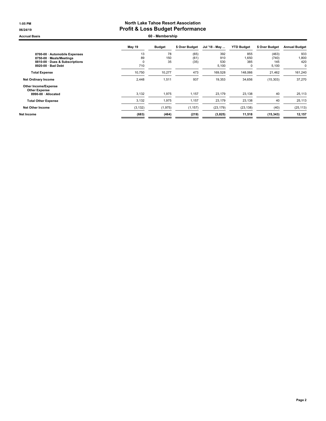### 1:05 PM North Lake Tahoe Resort Association 06/24/19 06/24/19

Accrual Basis **60 - Membership** 

| May 19   | <b>Budget</b> | \$ Over Budget | Jul '18 - May | <b>YTD Budget</b> | \$ Over Budget | <b>Annual Budget</b> |
|----------|---------------|----------------|---------------|-------------------|----------------|----------------------|
| 13       | 78            | (65)           | 392           | 855               | (463)          | 933                  |
| 89       | 150           | (61)           | 910           | 1,650             | (740)          | 1,800                |
|          |               |                |               |                   |                | 420                  |
| 710      |               |                | 5,100         | 0                 | 5,100          | 0                    |
| 10,750   | 10,277        | 473            | 169,528       | 148,066           | 21,462         | 161,240              |
| 2,448    | 1,511         | 937            | 19,353        | 34,656            | (15,303)       | 37,270               |
|          |               |                |               |                   |                |                      |
| 3,132    | 1,975         | 1,157          | 23,179        | 23,138            | 40             | 25,113               |
| 3,132    | 1,975         | 1,157          | 23,179        | 23,138            | 40             | 25,113               |
| (3, 132) | (1, 975)      | (1, 157)       | (23, 179)     | (23, 138)         | (40)           | (25, 113)            |
| (683)    | (464)         | (219)          | (3,825)       | 11,518            | (15, 343)      | 12,157               |
|          | $\Omega$      | 35             | (35)          | 530               | 385            | 145                  |